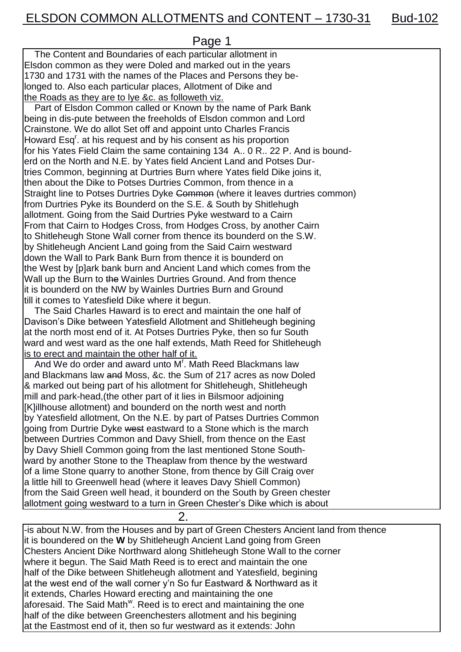Page 1

 The Content and Boundaries of each particular allotment in Elsdon common as they were Doled and marked out in the years 1730 and 1731 with the names of the Places and Persons they belonged to. Also each particular places, Allotment of Dike and the Roads as they are to lye &c. as followeth viz.

 Part of Elsdon Common called or Known by the name of Park Bank being in dis-pute between the freeholds of Elsdon common and Lord Crainstone. We do allot Set off and appoint unto Charles Francis Howard Esq<sup>r</sup>. at his request and by his consent as his proportion for his Yates Field Claim the same containing 134 A.. 0 R.. 22 P. And is bounderd on the North and N.E. by Yates field Ancient Land and Potses Durtries Common, beginning at Durtries Burn where Yates field Dike joins it, then about the Dike to Potses Durtries Common, from thence in a Straight line to Potses Durtries Dyke Common (where it leaves durtries common) from Durtries Pyke its Bounderd on the S.E. & South by Shitlehugh allotment. Going from the Said Durtries Pyke westward to a Cairn From that Cairn to Hodges Cross, from Hodges Cross, by another Cairn to Shitleheugh Stone Wall corner from thence its bounderd on the S.W. by Shitleheugh Ancient Land going from the Said Cairn westward down the Wall to Park Bank Burn from thence it is bounderd on the West by [p]ark bank burn and Ancient Land which comes from the Wall up the Burn to the Wainles Durtries Ground. And from thence it is bounderd on the NW by Wainles Durtries Burn and Ground till it comes to Yatesfield Dike where it begun.

 The Said Charles Haward is to erect and maintain the one half of Davison's Dike between Yatesfield Allotment and Shitleheugh begining at the north most end of it. At Potses Durtries Pyke, then so fur South ward and west ward as the one half extends, Math Reed for Shitleheugh is to erect and maintain the other half of it.

And We do order and award unto M'. Math Reed Blackmans law and Blackmans law and Moss, &c. the Sum of 217 acres as now Doled & marked out being part of his allotment for Shitleheugh, Shitleheugh mill and park-head,(the other part of it lies in Bilsmoor adjoining [K]illhouse allotment) and bounderd on the north west and north by Yatesfield allotment, On the N.E. by part of Patses Durtries Common going from Durtrie Dyke west eastward to a Stone which is the march between Durtries Common and Davy Shiell, from thence on the East by Davy Shiell Common going from the last mentioned Stone Southward by another Stone to the Theaplaw from thence by the westward of a lime Stone quarry to another Stone, from thence by Gill Craig over a little hill to Greenwell head (where it leaves Davy Shiell Common) from the Said Green well head, it bounderd on the South by Green chester allotment going westward to a turn in Green Chester's Dike which is about

2.

-is about N.W. from the Houses and by part of Green Chesters Ancient land from thence it is boundered on the **W** by Shitleheugh Ancient Land going from Green Chesters Ancient Dike Northward along Shitleheugh Stone Wall to the corner where it begun. The Said Math Reed is to erect and maintain the one half of the Dike between Shitleheugh allotment and Yatesfield, begining at the west end of the wall corner y'n So fur Eastward & Northward as it it extends, Charles Howard erecting and maintaining the one aforesaid. The Said Math<sup>w</sup>. Reed is to erect and maintaining the one half of the dike between Greenchesters allotment and his begining at the Eastmost end of it, then so fur westward as it extends: John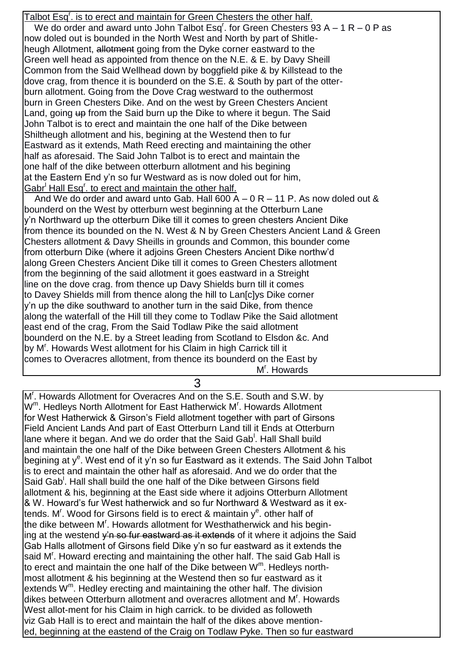Talbot Esq<sup>r</sup>. is to erect and maintain for Green Chesters the other half. We do order and award unto John Talbot Esq<sup>r</sup>. for Green Chesters 93 A  $-1$  R  $-0$  P as now doled out is bounded in the North West and North by part of Shitleheugh Allotment, allotment going from the Dyke corner eastward to the Green well head as appointed from thence on the N.E. & E. by Davy Sheill Common from the Said Wellhead down by boggfield pike & by Killstead to the dove crag, from thence it is bounderd on the S.E. & South by part of the otterburn allotment. Going from the Dove Crag westward to the outhermost burn in Green Chesters Dike. And on the west by Green Chesters Ancient Land, going up from the Said burn up the Dike to where it begun. The Said John Talbot is to erect and maintain the one half of the Dike between Shiltheugh allotment and his, begining at the Westend then to fur Eastward as it extends, Math Reed erecting and maintaining the other half as aforesaid. The Said John Talbot is to erect and maintain the one half of the dike between otterburn allotment and his begining at the Eastern End y'n so fur Westward as is now doled out for him, Gabr<sup>I</sup> Hall Esq<sup>r</sup>. to erect and maintain the other half. And We do order and award unto Gab. Hall 600 A  $-$  0 R  $-$  11 P. As now doled out &

bounderd on the West by otterburn west beginning at the Otterburn Lane y'n Northward up the otterburn Dike till it comes to green chesters Ancient Dike from thence its bounded on the N. West & N by Green Chesters Ancient Land & Green Chesters allotment & Davy Sheills in grounds and Common, this bounder come from otterburn Dike (where it adjoins Green Chesters Ancient Dike northw'd along Green Chesters Ancient Dike till it comes to Green Chesters allotment from the beginning of the said allotment it goes eastward in a Streight line on the dove crag. from thence up Davy Shields burn till it comes to Davey Shields mill from thence along the hill to Laniclys Dike corner y'n up the dike southward to another turn in the said Dike, from thence along the waterfall of the Hill till they come to Todlaw Pike the Said allotment east end of the crag, From the Said Todlaw Pike the said allotment bounderd on the N.E. by a Street leading from Scotland to Elsdon &c. And by M<sup>r</sup>. Howards West allotment for his Claim in high Carrick till it comes to Overacres allotment, from thence its bounderd on the East by M r . Howards

3

M<sup>r</sup>. Howards Allotment for Overacres And on the S.E. South and S.W. by W<sup>m</sup>. Hedleys North Allotment for East Hatherwick M<sup>r</sup>. Howards Allotment for West Hatherwick & Girson's Field allotment together with part of Girsons Field Ancient Lands And part of East Otterburn Land till it Ends at Otterburn lane where it began. And we do order that the Said Gab<sup>!</sup>. Hall Shall build and maintain the one half of the Dike between Green Chesters Allotment & his begining at y<sup>e</sup>. West end of it y'n so fur Eastward as it extends. The Said John Talbot is to erect and maintain the other half as aforesaid. And we do order that the Said Gab<sup>1</sup>. Hall shall build the one half of the Dike between Girsons field allotment & his, beginning at the East side where it adjoins Otterburn Allotment & W. Howard's fur West hatherwick and so fur Northward & Westward as it extends. M<sup>r</sup>. Wood for Girsons field is to erect & maintain y<sup>e</sup>. other half of the dike between M<sup>r</sup>. Howards allotment for Westhatherwick and his begining at the westend y'n so fur eastward as it extends of it where it adjoins the Said Gab Halls allotment of Girsons field Dike y'n so fur eastward as it extends the said M'. Howard erecting and maintaining the other half. The said Gab Hall is to erect and maintain the one half of the Dike between W<sup>m</sup>. Hedleys northmost allotment & his beginning at the Westend then so fur eastward as it extends W<sup>m</sup>. Hedley erecting and maintaining the other half. The division dikes between Otterburn allotment and overacres allotment and M'. Howards West allot-ment for his Claim in high carrick, to be divided as followeth viz Gab Hall is to erect and maintain the half of the dikes above mentioned, beginning at the eastend of the Craig on Todlaw Pyke. Then so fur eastward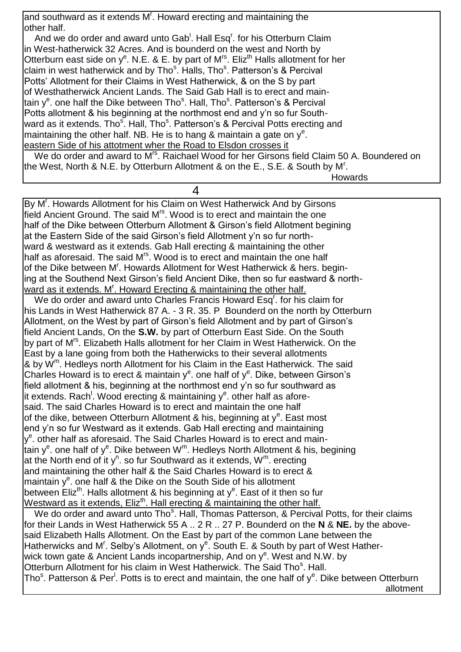and southward as it extends M<sup>r</sup>. Howard erecting and maintaining the other half.

And we do order and award unto Gab<sup>1</sup>. Hall Esq<sup>r</sup>. for his Otterburn Claim in West-hatherwick 32 Acres. And is bounderd on the west and North by Otterburn east side on y<sup>e</sup>. N.E. & E. by part of M<sup>rs</sup>. Eliz<sup>th</sup> Halls allotment for her claim in west hatherwick and by Tho<sup>s</sup>. Halls, Tho<sup>s</sup>. Patterson's & Percival Potts' Allotment for their Claims in West Hatherwick, & on the S by part of Westhatherwick Ancient Lands. The Said Gab Hall is to erect and maintain y<sup>e</sup>. one half the Dike between Tho<sup>s</sup>. Hall, Tho<sup>s</sup>. Patterson's & Percival Potts allotment & his beginning at the northmost end and y'n so fur Southward as it extends. Tho<sup>s</sup>. Hall, Tho<sup>s</sup>. Patterson's & Percival Potts erecting and maintaining the other half. NB. He is to hang & maintain a gate on  $y^e$ . eastern Side of his attotment wher the Road to Elsdon crosses it

We do order and award to M<sup>rs</sup>. Raichael Wood for her Girsons field Claim 50 A. Boundered on the West, North & N.E. by Otterburn Allotment & on the E., S.E. & South by M<sup>r</sup>.

Howards

By M<sup>r</sup>. Howards Allotment for his Claim on West Hatherwick And by Girsons field Ancient Ground. The said M<sup>rs</sup>. Wood is to erect and maintain the one half of the Dike between Otterburn Allotment & Girson's field Allotment begining at the Eastern Side of the said Girson's field Allotment y'n so fur northward & westward as it extends. Gab Hall erecting & maintaining the other half as aforesaid. The said M<sup>rs</sup>. Wood is to erect and maintain the one half of the Dike between M<sup>r</sup>. Howards Allotment for West Hatherwick & hers. begining at the Southend Next Girson's field Ancient Dike, then so fur eastward & northward as it extends. M'. Howard Erecting & maintaining the other half.

4

We do order and award unto Charles Francis Howard Esq<sup>r</sup>. for his claim for his Lands in West Hatherwick 87 A. - 3 R. 35. P Bounderd on the north by Otterburn Allotment, on the West by part of Girson's field Allotment and by part of Girson's field Ancient Lands, On the **S.W.** by part of Otterburn East Side. On the South by part of M<sup>rs</sup>. Elizabeth Halls allotment for her Claim in West Hatherwick. On the East by a lane going from both the Hatherwicks to their several allotments & by  $\dot{W}^m$ . Hedleys north Allotment for his Claim in the East Hatherwick. The said Charles Howard is to erect & maintain  $y^e$ . one half of  $y^e$ . Dike, between Girson's field allotment & his, beginning at the northmost end y'n so fur southward as it extends. Rach<sup>!</sup>. Wood erecting & maintaining y<sup>e</sup>. other half as aforesaid. The said Charles Howard is to erect and maintain the one half of the dike, between Otterburn Allotment & his, beginning at  $y^e$ . East most end y'n so fur Westward as it extends. Gab Hall erecting and maintaining y<sup>e</sup>. other half as aforesaid. The Said Charles Howard is to erect and maintain y<sup>e</sup>. one half of y<sup>e</sup>. Dike between W<sup>m</sup>. Hedleys North Allotment & his, begining at the North end of it y<sup>n</sup>. so fur Southward as it extends,  $W^m$ . erecting and maintaining the other half & the Said Charles Howard is to erect & maintain y<sup>e</sup>. one half & the Dike on the South Side of his allotment between Eliz<sup>th</sup>. Halls allotment & his beginning at y<sup>e</sup>. East of it then so fur Westward as it extends, Eliz<sup>th</sup>. Hall erecting & maintaining the other half. We do order and award unto Tho<sup>s</sup>. Hall, Thomas Patterson, & Percival Potts, for their claims for their Lands in West Hatherwick 55 A .. 2 R .. 27 P. Bounderd on the **N** & **NE.** by the abovesaid Elizabeth Halls Allotment. On the East by part of the common Lane between the

Hatherwicks and M<sup>r</sup>. Selby's Allotment, on y<sup>e</sup>. South E. & South by part of West Hather-

wick town gate & Ancient Lands incopartnership, And on y<sup>e</sup>. West and N.W. by

Otterburn Allotment for his claim in West Hatherwick. The Said Tho<sup>s</sup>. Hall.

Tho<sup>s</sup>. Patterson & Per<sup>l</sup>. Potts is to erect and maintain, the one half of y<sup>e</sup>. Dike between Otterburn allotment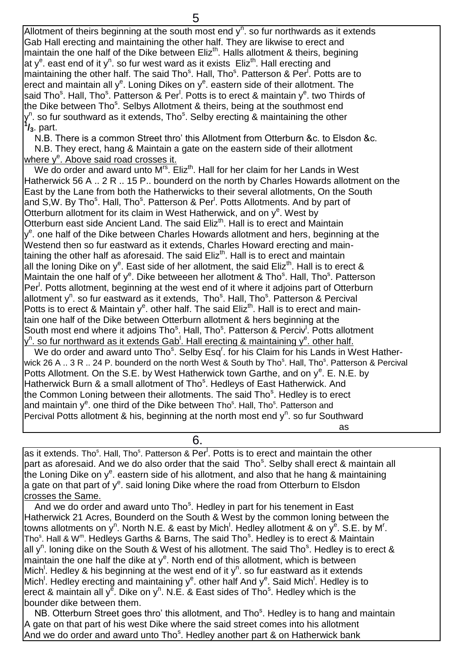Allotment of theirs beginning at the south most end  $y<sup>n</sup>$ . so fur northwards as it extends Gab Hall erecting and maintaining the other half. They are likwise to erect and maintain the one half of the Dike between Eliz<sup>th</sup>. Halls allotment & theirs, begining at y<sup>e</sup>. east end of it y<sup>n</sup>. so fur west ward as it exists Eliz<sup>th</sup>. Hall erecting and maintaining the other half. The said Tho<sup>s</sup>. Hall, Tho<sup>s</sup>. Patterson & Per<sup>r</sup>. Potts are to erect and maintain all y<sup>e</sup>. Loning Dikes on y<sup>e</sup>. eastern side of their allotment. The said Tho<sup>s</sup>. Hall, Tho<sup>s</sup>. Patterson & Per<sup>l</sup>. Potts is to erect & maintain y<sup>e</sup>. two Thirds of the Dike between Tho<sup>s</sup>. Selbys Allotment & theirs, being at the southmost end y<sup>n</sup>. so fur southward as it extends, Tho<sup>s</sup>. Selby erecting & maintaining the other **1 /3**. part.

 N.B. There is a common Street thro' this Allotment from Otterburn &c. to Elsdon &c. N.B. They erect, hang & Maintain a gate on the eastern side of their allotment where y<sup>e</sup>. Above said road crosses it.

We do order and award unto  $M^{rs}$ . Eliz<sup>th</sup>. Hall for her claim for her Lands in West Hatherwick 56 A .. 2 R .. 15 P.. bounderd on the north by Charles Howards allotment on the East by the Lane from both the Hatherwicks to their several allotments, On the South and S,W. By Tho<sup>s</sup>. Hall, Tho<sup>s</sup>. Patterson & Per<sup>l</sup>. Potts Allotments. And by part of Otterburn allotment for its claim in West Hatherwick, and on  $y<sup>e</sup>$ . West by Otterburn east side Ancient Land. The said Eliz<sup>th</sup>. Hall is to erect and Maintain y<sup>e</sup>. one half of the Dike between Charles Howards allotment and hers, beginning at the Westend then so fur eastward as it extends, Charles Howard erecting and maintaining the other half as aforesaid. The said  $E$ liz<sup>th</sup>. Hall is to erect and maintain all the loning Dike on y<sup>e</sup>. East side of her allotment, the said Eliz<sup>th</sup>. Hall is to erect & Maintain the one half of y<sup>e</sup>. Dike betweeen her allotment & Tho<sup>s</sup>. Hall, Tho<sup>s</sup>. Patterson Per<sup>l</sup>. Potts allotment, beginning at the west end of it where it adjoins part of Otterburn allotment y<sup>n</sup>. so fur eastward as it extends, Tho<sup>s</sup>. Hall, Tho<sup>s</sup>. Patterson & Percival Potts is to erect & Maintain  $y^e$ . other half. The said Eliz<sup>th</sup>. Hall is to erect and maintain one half of the Dike between Otterburn allotment & hers beginning at the South most end where it adjoins Tho<sup>s</sup>. Hall, Tho<sup>s</sup>. Patterson & Perciv<sup>!</sup>. Potts allotment y<sup>n</sup>. so fur northward as it extends Gab<sup>l</sup>. Hall erecting & maintaining y<sup>e</sup>. other half. We do order and award unto Tho<sup>s</sup>. Selby Esq<sup>r</sup>. for his Claim for his Lands in West Hatherwick 26 A .. 3 R .. 24 P. bounderd on the north West & South by Tho<sup>s</sup>. Hall, Tho<sup>s</sup>. Patterson & Percival Potts Allotment. On the S.E. by West Hatherwick town Garthe, and on y<sup>e</sup>. E. N.E. by Hatherwick Burn & a small allotment of Tho<sup>s</sup>. Hedleys of East Hatherwick. And the Common Loning between their allotments. The said Tho<sup>s</sup>. Hedley is to erect and maintain y<sup>e</sup>. one third of the Dike between Tho<sup>s</sup>. Hall, Tho<sup>s</sup>. Patterson and Percival Potts allotment & his, beginning at the north most end y<sup>n</sup>. so fur Southward <u>as a comparador de la comparador de la compa</u>

as it extends. Tho<sup>s</sup>. Hall, Tho<sup>s</sup>. Patterson & Per<sup>l</sup>. Potts is to erect and maintain the other part as aforesaid. And we do also order that the said Tho<sup>s</sup>. Selby shall erect & maintain all .<br>the Loning Dike on y<sup>e</sup>. eastern side of his allotment, and also that he hang & maintaining a gate on that part of  $y^e$ . said loning Dike where the road from Otterburn to Elsdon crosses the Same.

6.

And we do order and award unto Tho<sup>s</sup>. Hedley in part for his tenement in East Hatherwick 21 Acres, Bounderd on the South & West by the common loning between the towns allotments on y<sup>n</sup>. North N.E. & east by Mich<sup>!</sup>. Hedley allotment & on y<sup>e</sup>. S.E. by M<sup>r</sup>. Tho<sup>s</sup>. Hall & W<sup>m</sup>. Hedleys Garths & Barns, The said Tho<sup>s</sup>. Hedley is to erect & Maintain all y<sup>n</sup>. loning dike on the South & West of his allotment. The said Tho<sup>s</sup>. Hedley is to erect & maintain the one half the dike at  $y^e$ . North end of this allotment, which is between Mich<sup>!</sup>. Hedley & his beginning at the west end of it y<sup>n</sup>. so fur eastward as it extends Mich<sup>!</sup>. Hedley erecting and maintaining y<sup>e</sup>. other half And y<sup>e</sup>. Said Mich<sup>!</sup>. Hedley is to erect & maintain all y<sup>e</sup>. Dike on y<sup>n</sup>. N.E. & East sides of Tho<sup>s</sup>. Hedley which is the bounder dike between them.

NB. Otterburn Street goes thro' this allotment, and Tho<sup>s</sup>. Hedley is to hang and maintain A gate on that part of his west Dike where the said street comes into his allotment And we do order and award unto Tho<sup>s</sup>. Hedley another part & on Hatherwick bank

5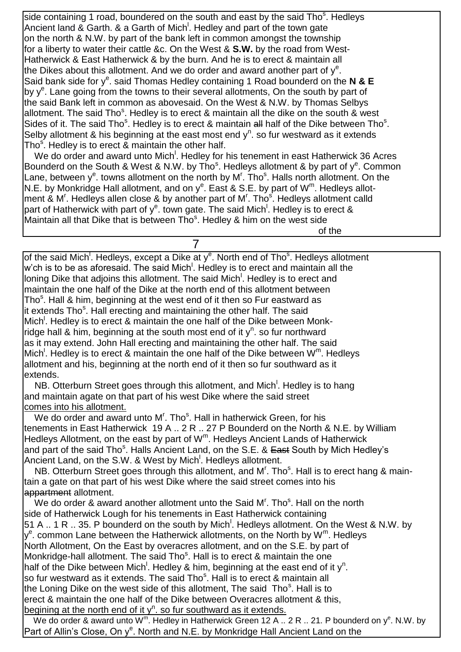side containing 1 road, boundered on the south and east by the said Tho<sup>s</sup>. Hedleys Ancient land & Garth. & a Garth of Mich<sup>!</sup>. Hedley and part of the town gate on the north & N.W. by part of the bank left in common amongst the township for a liberty to water their cattle &c. On the West & **S.W.** by the road from West-Hatherwick & East Hatherwick & by the burn. And he is to erect & maintain all the Dikes about this allotment. And we do order and award another part of  $y^e$ . Said bank side for y<sup>e</sup>. said Thomas Hedley containing 1 Road bounderd on the N & E by y<sup>e</sup>. Lane going from the towns to their several allotments, On the south by part of the said Bank left in common as abovesaid. On the West & N.W. by Thomas Selbys allotment. The said Tho<sup>s</sup>. Hedley is to erect & maintain all the dike on the south & west Sides of it. The said Tho<sup>s</sup>. Hedley is to erect & maintain all half of the Dike between Tho<sup>s</sup>. Selby allotment & his beginning at the east most end  $y<sup>n</sup>$ . so fur westward as it extends Tho<sup>s</sup>. Hedley is to erect & maintain the other half.

We do order and award unto Mich<sup>1</sup>. Hedley for his tenement in east Hatherwick 36 Acres Bounderd on the South & West & N.W. by Tho<sup>s</sup>. Hedleys allotment & by part of y<sup>e</sup>. Common Lane, between y<sup>e</sup>. towns allotment on the north by M<sup>r</sup>. Tho<sup>s</sup>. Halls north allotment. On the N.E. by Monkridge Hall allotment, and on  $y^e$ . East & S.E. by part of  $W^m$ . Hedleys allotment & M'. Hedleys allen close & by another part of M'. Tho<sup>s</sup>. Hedleys allotment calld part of Hatherwick with part of y<sup>e</sup>. town gate. The said Mich<sup>!</sup>. Hedley is to erect & Maintain all that Dike that is between  $Tho<sup>s</sup>$ . Hedley & him on the west side

of the contract of the contract of the contract of the contract of the contract of the contract of the contract of the contract of the contract of the contract of the contract of the contract of the contract of the contrac

of the said Mich<sup>!</sup>. Hedleys, except a Dike at y<sup>e</sup>. North end of Tho<sup>s</sup>. Hedleys allotment w'ch is to be as aforesaid. The said Mich<sup>!</sup>. Hedley is to erect and maintain all the loning Dike that adjoins this allotment. The said Mich<sup>!</sup>. Hedley is to erect and maintain the one half of the Dike at the north end of this allotment between Tho<sup>s</sup>. Hall & him, beginning at the west end of it then so Fur eastward as it extends Tho<sup>s</sup>. Hall erecting and maintaining the other half. The said Mich<sup>!</sup>. Hedley is to erect & maintain the one half of the Dike between Monkridge hall & him, beginning at the south most end of it  $y^n$ . so fur northward as it may extend. John Hall erecting and maintaining the other half. The said Mich<sup>!</sup>. Hedley is to erect & maintain the one half of the Dike between  $W^m$ . Hedleys allotment and his, beginning at the north end of it then so fur southward as it extends.

7

NB. Otterburn Street goes through this allotment, and Mich<sup>!</sup>. Hedley is to hang and maintain agate on that part of his west Dike where the said street comes into his allotment.

We do order and award unto M'. Tho<sup>s</sup>. Hall in hatherwick Green, for his tenements in East Hatherwick 19 A .. 2 R .. 27 P Bounderd on the North & N.E. by William Hedleys Allotment, on the east by part of W<sup>m</sup>. Hedleys Ancient Lands of Hatherwick and part of the said Tho<sup>s</sup>. Halls Ancient Land, on the S.E. & <del>East</del> South by Mich Hedley's Ancient Land, on the S.W. & West by Mich<sup>!</sup>. Hedleys allotment.

NB. Otterburn Street goes through this allotment, and M'. Tho<sup>s</sup>. Hall is to erect hang & maintain a gate on that part of his west Dike where the said street comes into his appartment allotment.

We do order & award another allotment unto the Said M'. Tho $\textdegree$ . Hall on the north side of Hatherwick Lough for his tenements in East Hatherwick containing 51 A .. 1 R .. 35. P bounderd on the south by Mich<sup>1</sup>. Hedleys allotment. On the West & N.W. by y<sup>e</sup>. common Lane between the Hatherwick allotments, on the North by W<sup>m</sup>. Hedleys North Allotment, On the East by overacres allotment, and on the S.E. by part of Monkridge-hall allotment. The said Tho<sup>s</sup>. Hall is to erect & maintain the one half of the Dike between Mich<sup>!</sup>. Hedley & him, beginning at the east end of it y<sup>n</sup>. so fur westward as it extends. The said Tho<sup>s</sup>. Hall is to erect & maintain all the Loning Dike on the west side of this allotment, The said Tho<sup>s</sup>. Hall is to erect & maintain the one half of the Dike between Overacres allotment & this, begining at the north end of it  $y^n$ . so fur southward as it extends.

We do order & award unto W<sup>m</sup>. Hedley in Hatherwick Green 12 A .. 2 R .. 21. P bounderd on y<sup>e</sup>. N.W. by Part of Allin's Close, On y<sup>e</sup>. North and N.E. by Monkridge Hall Ancient Land on the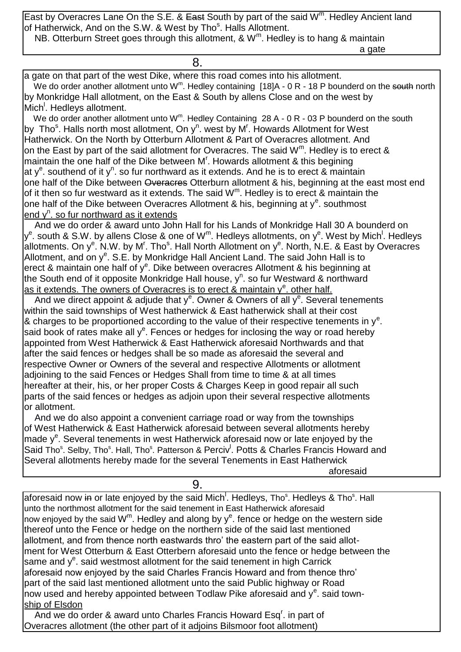East by Overacres Lane On the S.E. & East South by part of the said W<sup>m</sup>. Hedley Ancient land of Hatherwick, And on the S.W. & West by Tho<sup>s</sup>. Halls Allotment. NB. Otterburn Street goes through this allotment, & W<sup>m</sup>. Hedley is to hang & maintain

a gate and a gate and a gate and a gate and a gate and a gate

8.

a gate on that part of the west Dike, where this road comes into his allotment.

We do order another allotment unto W<sup>m</sup>. Hedley containing [18]A - 0 R - 18 P bounderd on the south north by Monkridge Hall allotment, on the East & South by allens Close and on the west by Mich<sup>'</sup>. Hedleys allotment.

We do order another allotment unto W<sup>m</sup>. Hedley Containing 28 A - 0 R - 03 P bounderd on the south by Tho<sup>s</sup>. Halls north most allotment, On y<sup>n</sup>. west by M<sup>r</sup>. Howards Allotment for West Hatherwick. On the North by Otterburn Allotment & Part of Overacres allotment. And on the East by part of the said allotment for Overacres. The said  $W^m$ . Hedley is to erect & maintain the one half of the Dike between  $M<sup>r</sup>$ . Howards allotment & this begining at y<sup>e</sup>. southend of it y<sup>n</sup>. so fur northward as it extends. And he is to erect & maintain one half of the Dike between Overacres Otterburn allotment & his, beginning at the east most end of it then so fur westward as it extends. The said  $W<sup>m</sup>$ . Hedley is to erect & maintain the one half of the Dike between Overacres Allotment & his, beginning at y<sup>e</sup>. southmost end y<sup>n</sup>. so fur northward as it extends

 And we do order & award unto John Hall for his Lands of Monkridge Hall 30 A bounderd on y<sup>e</sup>. south & S.W. by allens Close & one of W<sup>m</sup>. Hedleys allotments, on y<sup>e</sup>. West by Mich<sup>!</sup>. Hedleys allotments. On y<sup>e</sup>. N.W. by M<sup>r</sup>. Tho<sup>s</sup>. Hall North Allotment on y<sup>e</sup>. North, N.E. & East by Overacres Allotment, and on y<sup>e</sup>. S.E. by Monkridge Hall Ancient Land. The said John Hall is to erect & maintain one half of y<sup>e</sup>. Dike between overacres Allotment & his beginning at the South end of it opposite Monkridge Hall house, y<sup>n</sup>. so fur Westward & northward as it extends. The owners of Overacres is to erect & maintain y<sup>e</sup>, other half.

And we direct appoint & adjude that  $y^e$ . Owner & Owners of all  $y^e$ . Several tenements within the said townships of West hatherwick & East hatherwick shall at their cost & charges to be proportioned according to the value of their respective tenements in  $y<sup>e</sup>$ . said book of rates make all  $y^e$ . Fences or hedges for inclosing the way or road hereby appointed from West Hatherwick & East Hatherwick aforesaid Northwards and that after the said fences or hedges shall be so made as aforesaid the several and respective Owner or Owners of the several and respective Allotments or allotment adjoining to the said Fences or Hedges Shall from time to time & at all times hereafter at their, his, or her proper Costs & Charges Keep in good repair all such parts of the said fences or hedges as adjoin upon their several respective allotments or allotment.

 And we do also appoint a convenient carriage road or way from the townships of West Hatherwick & East Hatherwick aforesaid between several allotments hereby made y<sup>e</sup>. Several tenements in west Hatherwick aforesaid now or late enjoyed by the Said Tho<sup>s</sup>. Selby, Tho<sup>s</sup>. Hall, Tho<sup>s</sup>. Patterson & Perciv<sup>l</sup>. Potts & Charles Francis Howard and Several allotments hereby made for the several Tenements in East Hatherwick aforesaid

9.

aforesaid now <del>in</del> or late enjoyed by the said Mich<sup>!</sup>. Hedleys, Tho<sup>s</sup>. Hedleys & Tho<sup>s</sup>. Hall unto the northmost allotment for the said tenement in East Hatherwick aforesaid now enjoyed by the said  $\mathsf{W}^{\mathsf{m}}$ . Hedley and along by  $\mathsf{y}^{\mathsf{e}}$ . fence or hedge on the western side thereof unto the Fence or hedge on the northern side of the said last mentioned allotment, and from thence north eastwards thro' the eastern part of the said allotment for West Otterburn & East Otterbern aforesaid unto the fence or hedge between the same and y<sup>e</sup>. said westmost allotment for the said tenement in high Carrick aforesaid now enjoyed by the said Charles Francis Howard and from thence thro' part of the said last mentioned allotment unto the said Public highway or Road now used and hereby appointed between Todlaw Pike aforesaid and  $y^e$ . said township of Elsdon

And we do order & award unto Charles Francis Howard Esq<sup>r</sup>. in part of Overacres allotment (the other part of it adjoins Bilsmoor foot allotment)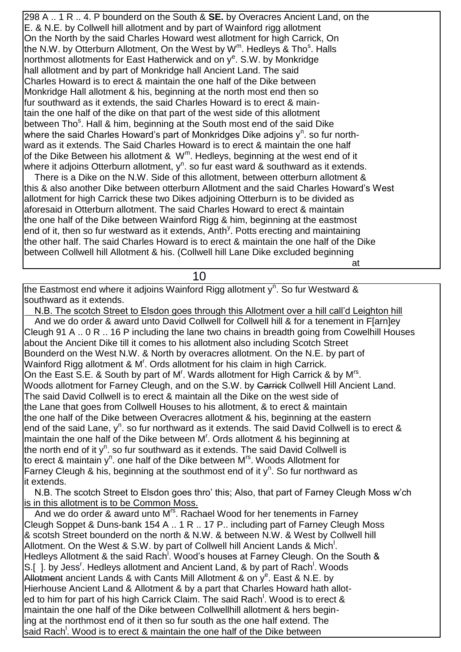298 A .. 1 R .. 4. P bounderd on the South & **SE.** by Overacres Ancient Land, on the E. & N.E. by Collwell hill allotment and by part of Wainford rigg allotment On the North by the said Charles Howard west allotment for high Carrick, On the N.W. by Otterburn Allotment, On the West by W<sup>m</sup>. Hedleys & Tho<sup>s</sup>. Halls northmost allotments for East Hatherwick and on y<sup>e</sup>. S.W. by Monkridge hall allotment and by part of Monkridge hall Ancient Land. The said Charles Howard is to erect & maintain the one half of the Dike between Monkridge Hall allotment & his, beginning at the north most end then so fur southward as it extends, the said Charles Howard is to erect & maintain the one half of the dike on that part of the west side of this allotment between Tho<sup>s</sup>. Hall & him, beginning at the South most end of the said Dike where the said Charles Howard's part of Monkridges Dike adjoins  $y^n$ . so fur northward as it extends. The Said Charles Howard is to erect & maintain the one half of the Dike Between his allotment &  $W<sup>m</sup>$ . Hedleys, beginning at the west end of it where it adjoins Otterburn allotment,  $y^n$ . so fur east ward & southward as it extends. There is a Dike on the N.W. Side of this allotment, between otterburn allotment &

this & also another Dike between otterburn Allotment and the said Charles Howard's West allotment for high Carrick these two Dikes adjoining Otterburn is to be divided as aforesaid in Otterburn allotment. The said Charles Howard to erect & maintain the one half of the Dike between Wainford Rigg & him, beginning at the eastmost end of it, then so fur westward as it extends, Anth<sup>y</sup>. Potts erecting and maintaining the other half. The said Charles Howard is to erect & maintain the one half of the Dike between Collwell hill Allotment & his. (Collwell hill Lane Dike excluded beginning

at the contract of the contract of the contract of the contract of the contract of the contract of the contract of the contract of the contract of the contract of the contract of the contract of the contract of the contrac

10

the Eastmost end where it adjoins Wainford Rigg allotment y<sup>n</sup>. So fur Westward & southward as it extends.

 N.B. The scotch Street to Elsdon goes through this Allotment over a hill call'd Leighton hill And we do order & award unto David Collwell for Collwell hill & for a tenement in F[arn]ey Cleugh 91 A .. 0 R .. 16 P including the lane two chains in breadth going from Cowelhill Houses about the Ancient Dike till it comes to his allotment also including Scotch Street Bounderd on the West N.W. & North by overacres allotment. On the N.E. by part of Wainford Rigg allotment & M<sup>r</sup>. Ords allotment for his claim in high Carrick. On the East S.E. & South by part of M<sup>r</sup>. Wards allotment for High Carrick & by M<sup>rs</sup>. Woods allotment for Farney Cleugh, and on the S.W. by Carrick Collwell Hill Ancient Land. The said David Collwell is to erect & maintain all the Dike on the west side of the Lane that goes from Collwell Houses to his allotment, & to erect & maintain the one half of the Dike between Overacres allotment & his, beginning at the eastern end of the said Lane,  $y^n$ . so fur northward as it extends. The said David Collwell is to erect & maintain the one half of the Dike between M'. Ords allotment & his beginning at the north end of it y<sup>n</sup>. so fur southward as it extends. The said David Collwell is to erect & maintain y<sup>n</sup>. one half of the Dike between M<sup>rs</sup>. Woods Allotment for Farney Cleugh & his, beginning at the southmost end of it  $y^n$ . So fur northward as it extends.

 N.B. The scotch Street to Elsdon goes thro' this; Also, that part of Farney Cleugh Moss w'ch is in this allotment is to be Common Moss.

And we do order & award unto M<sup>rs</sup>. Rachael Wood for her tenements in Farney Cleugh Soppet & Duns-bank 154 A .. 1 R .. 17 P.. including part of Farney Cleugh Moss & scotsh Street bounderd on the north & N.W. & between N.W. & West by Collwell hill Allotment. On the West & S.W. by part of Collwell hill Ancient Lands & Mich<sup>1</sup>. Hedleys Allotment & the said Rach<sup>1</sup>. Wood's houses at Farney Cleugh. On the South & S.[ ]. by Jess<sup>r</sup>. Hedleys allotment and Ancient Land, & by part of Rach<sup>1</sup>. Woods Allotment ancient Lands & with Cants Mill Allotment & on y<sup>e</sup>. East & N.E. by Hierhouse Ancient Land & Allotment & by a part that Charles Howard hath alloted to him for part of his high Carrick Claim. The said Rach<sup>!</sup>. Wood is to erect & maintain the one half of the Dike between Collwellhill allotment & hers begining at the northmost end of it then so fur south as the one half extend. The said Rach<sup>!</sup>. Wood is to erect & maintain the one half of the Dike between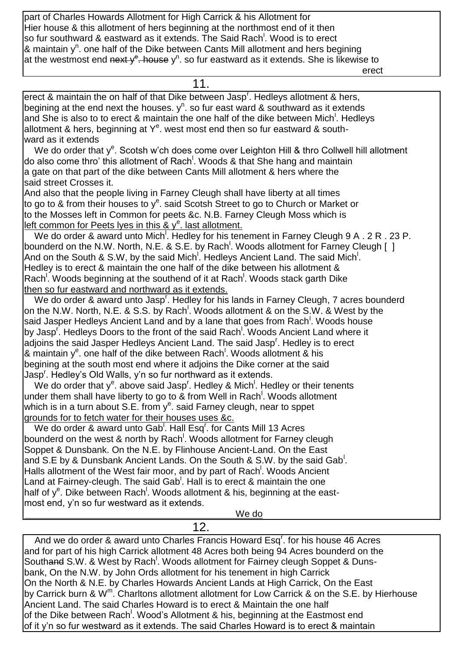part of Charles Howards Allotment for High Carrick & his Allotment for Hier house & this allotment of hers beginning at the northmost end of it then so fur southward & eastward as it extends. The Said Rach<sup>!</sup>. Wood is to erect & maintain y<sup>n</sup>. one half of the Dike between Cants Mill allotment and hers begining at the westmost end next y<sup>e</sup>. house y<sup>n</sup>. so fur eastward as it extends. She is likewise to

erection of the contract of the contract of the contract of the contract of the contract of the contract of the

| 11.                                                                                                            |
|----------------------------------------------------------------------------------------------------------------|
| erect & maintain the on half of that Dike between Jasp <sup>r</sup> . Hedleys allotment & hers,                |
| begining at the end next the houses. $y^n$ . so fur east ward & southward as it extends                        |
| and She is also to to erect & maintain the one half of the dike between Mich <sup>1</sup> . Hedleys            |
| allotment & hers, beginning at $Y^e$ . west most end then so fur eastward & south-                             |
| ward as it extends                                                                                             |
| We do order that y <sup>e</sup> . Scotsh w'ch does come over Leighton Hill & thro Collwell hill allotment      |
| do also come thro' this allotment of Rach <sup>1</sup> . Woods & that She hang and maintain                    |
| a gate on that part of the dike between Cants Mill allotment & hers where the                                  |
| said street Crosses it.                                                                                        |
| And also that the people living in Farney Cleugh shall have liberty at all times                               |
| to go to & from their houses to $y^e$ . said Scotsh Street to go to Church or Market or                        |
| to the Mosses left in Common for peets &c. N.B. Farney Cleugh Moss which is                                    |
| lleft common for Peets lyes in this & $y^e$ . last allotment.                                                  |
| We do order & award unto Mich <sup>1</sup> . Hedley for his tenement in Farney Cleugh 9 A . 2 R . 23 P.        |
| bounderd on the N.W. North, N.E. & S.E. by Rach <sup>!</sup> . Woods allotment for Farney Cleugh []            |
| And on the South & S.W, by the said Mich <sup>1</sup> . Hedleys Ancient Land. The said Mich <sup>1</sup> .     |
| Hedley is to erect & maintain the one half of the dike between his allotment &                                 |
| Rach <sup>'</sup> . Woods beginning at the southend of it at Rach <sup>'</sup> . Woods stack garth Dike        |
| then so fur eastward and northward as it extends.                                                              |
| We do order & award unto Jasp <sup>r</sup> . Hedley for his lands in Farney Cleugh, 7 acres bounderd           |
| on the N.W. North, N.E. & S.S. by Rach <sup>!</sup> . Woods allotment & on the S.W. & West by the              |
| said Jasper Hedleys Ancient Land and by a lane that goes from Rach <sup>!</sup> . Woods house                  |
| by Jasp <sup>r</sup> . Hedleys Doors to the front of the said Rach <sup>1</sup> . Woods Ancient Land where it  |
| adjoins the said Jasper Hedleys Ancient Land. The said Jasp <sup>r</sup> . Hedley is to erect                  |
| $\mathcal{R}$ maintain y <sup>e</sup> . one half of the dike between Rach <sup>!</sup> . Woods allotment & his |
| begining at the south most end where it adjoins the Dike corner at the said                                    |
| Jasp <sup>r</sup> . Hedley's Old Walls, y'n so fur northward as it extends.                                    |
| We do order that $y^e$ . above said Jasp <sup>r</sup> . Hedley & Mich <sup>1</sup> . Hedley or their tenents   |
| under them shall have liberty to go to & from Well in Rach <sup>1</sup> . Woods allotment                      |
| which is in a turn about S.E. from $y^e$ . said Farney cleugh, near to sppet                                   |
| grounds for to fetch water for their houses uses &c.                                                           |
| We do order & award unto Gab <sup>1</sup> . Hall Esq <sup>1</sup> for Cants Mill 13 Acres                      |
| bounderd on the west & north by Rach <sup>1</sup> . Woods allotment for Farney cleugh                          |
| Soppet & Dunsbank. On the N.E. by Flinhouse Ancient-Land. On the East                                          |
| and S.E by & Dunsbank Ancient Lands. On the South & S.W. by the said Gab.                                      |
| Halls allotment of the West fair moor, and by part of Rach <sup>'</sup> . Woods Ancient                        |
| Land at Fairney-cleugh. The said Gab <sup>1</sup> . Hall is to erect & maintain the one                        |
| half of y <sup>e</sup> . Dike between Rach <sup>!</sup> . Woods allotment & his, beginning at the east-        |
| most end, y'n so fur westward as it extends.                                                                   |
| We do                                                                                                          |
| 12.                                                                                                            |

And we do order & award unto Charles Francis Howard Esq<sup>r</sup>. for his house 46 Acres and for part of his high Carrick allotment 48 Acres both being 94 Acres bounderd on the Southand S.W. & West by Rach<sup>!</sup>. Woods allotment for Fairney cleugh Soppet & Dunsbank, On the N.W. by John Ords allotment for his tenement in high Carrick On the North & N.E. by Charles Howards Ancient Lands at High Carrick, On the East by Carrick burn & W<sup>m</sup>. Charltons allotment allotment for Low Carrick & on the S.E. by Hierhouse Ancient Land. The said Charles Howard is to erect & Maintain the one half of the Dike between Rach<sup>!</sup>. Wood's Allotment & his, beginning at the Eastmost end of it y'n so fur westward as it extends. The said Charles Howard is to erect & maintain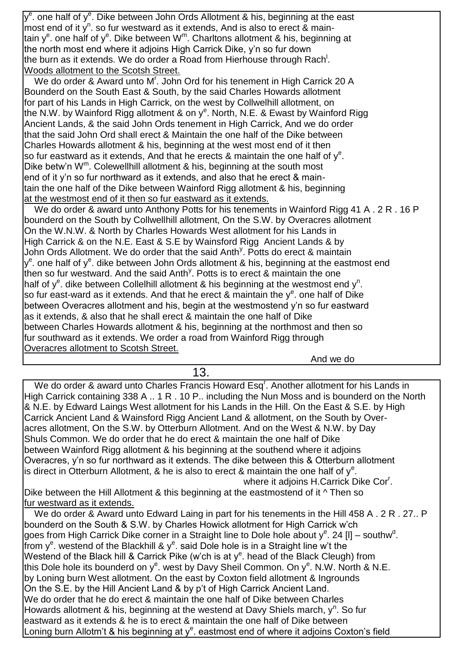y<sup>e</sup>. one half of y<sup>e</sup>. Dike between John Ords Allotment & his, beginning at the east most end of it  $y^n$ . so fur westward as it extends, And is also to erect & maintain y<sup>e</sup>. one half of y<sup>e</sup>. Dike between W<sup>m</sup>. Charltons allotment & his, beginning at the north most end where it adjoins High Carrick Dike, y'n so fur down the burn as it extends. We do order a Road from Hierhouse through Rach<sup>!</sup>. Woods allotment to the Scotsh Street.

We do order & Award unto M<sup>r</sup>. John Ord for his tenement in High Carrick 20 A Bounderd on the South East & South, by the said Charles Howards allotment for part of his Lands in High Carrick, on the west by Collwelhill allotment, on the N.W. by Wainford Rigg allotment & on y<sup>e</sup>. North, N.E. & Ewast by Wainford Rigg Ancient Lands, & the said John Ords tenement in High Carrick, And we do order that the said John Ord shall erect & Maintain the one half of the Dike between Charles Howards allotment & his, beginning at the west most end of it then so fur eastward as it extends, And that he erects & maintain the one half of  $y^e$ . Dike betw'n W<sup>m</sup>. Colewellhill allotment & his, beginning at the south most end of it y'n so fur northward as it extends, and also that he erect & maintain the one half of the Dike between Wainford Rigg allotment & his, beginning at the westmost end of it then so fur eastward as it extends.

We do order & award unto Anthony Potts for his tenements in Wainford Rigg 41 A, 2 R, 16 P bounderd on the South by Collwellhill allotment, On the S.W. by Overacres allotment On the W.N.W. & North by Charles Howards West allotment for his Lands in High Carrick & on the N.E. East & S.E by Wainsford Rigg Ancient Lands & by John Ords Allotment. We do order that the said Anth<sup>y</sup>. Potts do erect & maintain y<sup>e</sup>. one half of y<sup>e</sup>. dike between John Ords allotment & his, beginning at the eastmost end then so fur westward. And the said Anth<sup>y</sup>. Potts is to erect & maintain the one half of  $y^e$ . dike between Collelhill allotment & his beginning at the westmost end  $y^n$ . so fur east-ward as it extends. And that he erect & maintain the  $y^e$ . one half of Dike between Overacres allotment and his, begin at the westmostend y'n so fur eastward as it extends, & also that he shall erect & maintain the one half of Dike between Charles Howards allotment & his, beginning at the northmost and then so fur southward as it extends. We order a road from Wainford Rigg through Overacres allotment to Scotsh Street.

And we do

13.

We do order & award unto Charles Francis Howard Esq<sup>r</sup>. Another allotment for his Lands in High Carrick containing 338 A .. 1 R . 10 P.. including the Nun Moss and is bounderd on the North & N.E. by Edward Laings West allotment for his Lands in the Hill. On the East & S.E. by High Carrick Ancient Land & Wainsford Rigg Ancient Land & allotment, on the South by Overacres allotment, On the S.W. by Otterburn Allotment. And on the West & N.W. by Day Shuls Common. We do order that he do erect & maintain the one half of Dike between Wainford Rigg allotment & his beginning at the southend where it adjoins Overacres, y'n so fur northward as it extends. The dike between this & Otterburn allotment is direct in Otterburn Allotment, & he is also to erect & maintain the one half of  $y^e$ . **Example 20 Inches** Where it adjoins H.Carrick Dike Cor<sup>r</sup>. Dike between the Hill Allotment & this beginning at the eastmostend of it  $\wedge$  Then so fur westward as it extends. We do order & Award unto Edward Laing in part for his tenements in the Hill 458 A . 2 R . 27.. P bounderd on the South & S.W. by Charles Howick allotment for High Carrick w'ch goes from High Carrick Dike corner in a Straight line to Dole hole about  $y^e$ . 24 [I] – southw<sup>d</sup>. from y<sup>e</sup>. westend of the Blackhill & y<sup>e</sup>. said Dole hole is in a Straight line w't the Westend of the Black hill & Carrick Pike (w'ch is at y<sup>e</sup>. head of the Black Cleugh) from this Dole hole its bounderd on y<sup>e</sup>. west by Davy Sheil Common. On y<sup>e</sup>. N.W. North & N.E. by Loning burn West allotment. On the east by Coxton field allotment & Ingrounds On the S.E. by the Hill Ancient Land & by p't of High Carrick Ancient Land. We do order that he do erect & maintain the one half of Dike between Charles Howards allotment & his, beginning at the westend at Davy Shiels march,  $y^n$ . So fur eastward as it extends & he is to erect & maintain the one half of Dike between Loning burn Allotm't & his beginning at y<sup>e</sup>. eastmost end of where it adjoins Coxton's field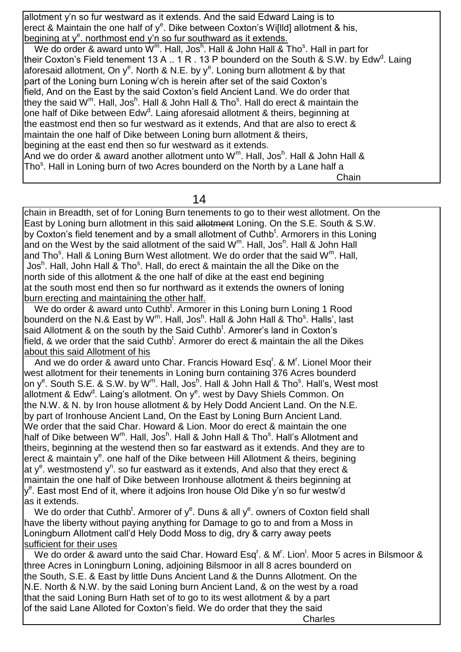allotment y'n so fur westward as it extends. And the said Edward Laing is to erect & Maintain the one half of  $y^e$ . Dike between Coxton's Wi[lld] allotment & his, begining at y<sup>e</sup>. northmost end y'n so fur southward as it extends.

We do order & award unto  $W^m$ . Hall, Jos<sup>h</sup>. Hall & John Hall & Tho<sup>s</sup>. Hall in part for their Coxton's Field tenement 13 A .. 1 R . 13 P bounderd on the South & S.W. by Edw<sup>d</sup>. Laing aforesaid allotment, On y<sup>e</sup>. North & N.E. by y<sup>e</sup>. Loning burn allotment & by that part of the Loning burn Loning w'ch is herein after set of the said Coxton's field, And on the East by the said Coxton's field Ancient Land. We do order that they the said W<sup>m</sup>. Hall, Jos<sup>h</sup>. Hall & John Hall & Tho<sup>s</sup>. Hall do erect & maintain the one half of Dike between Edw<sup>d</sup>. Laing aforesaid allotment & theirs, beginning at the eastmost end then so fur westward as it extends, And that are also to erect & maintain the one half of Dike between Loning burn allotment & theirs, begining at the east end then so fur westward as it extends. And we do order & award another allotment unto W<sup>m</sup>. Hall, Jos<sup>h</sup>. Hall & John Hall & Tho<sup>s</sup>. Hall in Loning burn of two Acres bounderd on the North by a Lane half a **Chain** (1996) and the contract of the contract of the contract of the contract of the contract of the contract of the contract of the contract of the contract of the contract of the contract of the contract of the contrac

#### 14

chain in Breadth, set of for Loning Burn tenements to go to their west allotment. On the East by Loning burn allotment in this said allotment Loning. On the S.E. South & S.W. by Coxton's field tenement and by a small allotment of Cuthb<sup>t</sup>. Armorers in this Loning and on the West by the said allotment of the said  $W^m$ . Hall, Jos<sup>h</sup>. Hall & John Hall and Tho<sup>s</sup>. Hall & Loning Burn West allotment. We do order that the said W<sup>m</sup>. Hall, Jos<sup>h</sup>. Hall, John Hall & Tho<sup>s</sup>. Hall, do erect & maintain the all the Dike on the north side of this allotment & the one half of dike at the east end begining at the south most end then so fur northward as it extends the owners of loning burn erecting and maintaining the other half.

We do order & award unto Cuthb<sup>t</sup>. Armorer in this Loning burn Loning 1 Rood bounderd on the N.& East by W<sup>m</sup>. Hall, Jos<sup>h</sup>. Hall & John Hall & Tho<sup>s</sup>. Halls', last said Allotment & on the south by the Said Cuthb<sup>t</sup>. Armorer's land in Coxton's field, & we order that the said Cuthb<sup>t</sup>. Armorer do erect & maintain the all the Dikes about this said Allotment of his

And we do order & award unto Char. Francis Howard Esq<sup>r</sup>. & M<sup>r</sup>. Lionel Moor their west allotment for their tenements in Loning burn containing 376 Acres bounderd on y<sup>e</sup>. South S.E. & S.W. by W<sup>m</sup>. Hall, Jos<sup>h</sup>. Hall & John Hall & Tho<sup>s</sup>. Hall's, West most allotment & Edw<sup>d</sup>. Laing's allotment. On y<sup>e</sup>. west by Davy Shiels Common. On the N.W. & N. by Iron house allotment & by Hely Dodd Ancient Land. On the N.E. by part of Ironhouse Ancient Land, On the East by Loning Burn Ancient Land. We order that the said Char. Howard & Lion. Moor do erect & maintain the one half of Dike between W<sup>m</sup>. Hall, Jos<sup>h</sup>. Hall & John Hall & Tho<sup>s</sup>. Hall's Allotment and theirs, beginning at the westend then so far eastward as it extends. And they are to erect & maintain y<sup>e</sup>. one half of the Dike between Hill Allotment & theirs, begining at y<sup>e</sup>. westmostend y<sup>n</sup>. so fur eastward as it extends, And also that they erect & maintain the one half of Dike between Ironhouse allotment & theirs beginning at y<sup>e</sup>. East most End of it, where it adjoins Iron house Old Dike y'n so fur westw'd as it extends.

We do order that Cuthb<sup>t</sup>. Armorer of  $y^e$ . Duns & all  $y^e$ . owners of Coxton field shall have the liberty without paying anything for Damage to go to and from a Moss in Loningburn Allotment call'd Hely Dodd Moss to dig, dry & carry away peets sufficient for their uses

We do order & award unto the said Char. Howard Esq<sup>r</sup>. & M<sup>r</sup>. Lion<sup>1</sup>. Moor 5 acres in Bilsmoor & three Acres in Loningburn Loning, adjoining Bilsmoor in all 8 acres bounderd on the South, S.E. & East by little Duns Ancient Land & the Dunns Allotment. On the N.E. North & N.W. by the said Loning burn Ancient Land, & on the west by a road that the said Loning Burn Hath set of to go to its west allotment & by a part of the said Lane Alloted for Coxton's field. We do order that they the said

**Charles Charles Charles**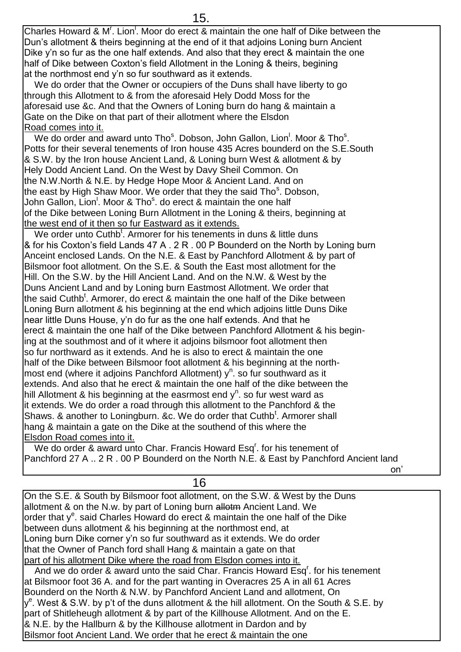Charles Howard & M'. Lion<sup>1</sup>. Moor do erect & maintain the one half of Dike between the Dun's allotment & theirs beginning at the end of it that adjoins Loning burn Ancient Dike y'n so fur as the one half extends. And also that they erect & maintain the one half of Dike between Coxton's field Allotment in the Loning & theirs, begining at the northmost end y'n so fur southward as it extends.

 We do order that the Owner or occupiers of the Duns shall have liberty to go through this Allotment to & from the aforesaid Hely Dodd Moss for the aforesaid use &c. And that the Owners of Loning burn do hang & maintain a Gate on the Dike on that part of their allotment where the Elsdon Road comes into it.

We do order and award unto Tho<sup>s</sup>. Dobson, John Gallon, Lion<sup>1</sup>. Moor & Tho<sup>s</sup>. Potts for their several tenements of Iron house 435 Acres bounderd on the S.E.South & S.W. by the Iron house Ancient Land, & Loning burn West & allotment & by Hely Dodd Ancient Land. On the West by Davy Sheil Common. On the N.W.North & N.E. by Hedge Hope Moor & Ancient Land. And on the east by High Shaw Moor. We order that they the said Tho<sup>s</sup>. Dobson, John Gallon, Lion<sup>!</sup>. Moor & Tho<sup>s</sup>. do erect & maintain the one half of the Dike between Loning Burn Allotment in the Loning & theirs, beginning at the west end of it then so fur Eastward as it extends.

We order unto Cuthb<sup>t</sup>. Armorer for his tenements in duns & little duns & for his Coxton's field Lands 47 A . 2 R . 00 P Bounderd on the North by Loning burn Anceint enclosed Lands. On the N.E. & East by Panchford Allotment & by part of Bilsmoor foot allotment. On the S.E. & South the East most allotment for the Hill. On the S.W. by the Hill Ancient Land. And on the N.W. & West by the Duns Ancient Land and by Loning burn Eastmost Allotment. We order that the said Cuthb<sup>t</sup>. Armorer, do erect & maintain the one half of the Dike between Loning Burn allotment & his beginning at the end which adjoins little Duns Dike near little Duns House, y'n do fur as the one half extends. And that he erect & maintain the one half of the Dike between Panchford Allotment & his begining at the southmost and of it where it adjoins bilsmoor foot allotment then so fur northward as it extends. And he is also to erect & maintain the one half of the Dike between Bilsmoor foot allotment & his beginning at the northmost end (where it adjoins Panchford Allotment) y<sup>n</sup>. so fur southward as it extends. And also that he erect & maintain the one half of the dike between the hill Allotment & his beginning at the easrmost end  $y^n$ . so fur west ward as it extends. We do order a road through this allotment to the Panchford & the Shaws. & another to Loningburn. &c. We do order that Cuthb<sup>t</sup>. Armorer shall hang & maintain a gate on the Dike at the southend of this where the Elsdon Road comes into it.

We do order & award unto Char. Francis Howard Esq<sup>'</sup>. for his tenement of Panchford 27 A .. 2 R . 00 P Bounderd on the North N.E. & East by Panchford Ancient land

 $\mathsf{on}'$ 

## 16

On the S.E. & South by Bilsmoor foot allotment, on the S.W. & West by the Duns allotment & on the N.w. by part of Loning burn allotm Ancient Land. We order that y<sup>e</sup>. said Charles Howard do erect & maintain the one half of the Dike between duns allotment & his beginning at the northmost end, at Loning burn Dike corner y'n so fur southward as it extends. We do order that the Owner of Panch ford shall Hang & maintain a gate on that part of his allotment Dike where the road from Elsdon comes into it.

And we do order & award unto the said Char. Francis Howard Esq<sup>r</sup>. for his tenement at Bilsmoor foot 36 A. and for the part wanting in Overacres 25 A in all 61 Acres Bounderd on the North & N.W. by Panchford Ancient Land and allotment, On y<sup>e</sup>. West & S.W. by p't of the duns allotment & the hill allotment. On the South & S.E. by part of Shitleheugh allotment & by part of the Killhouse Allotment. And on the E. & N.E. by the Hallburn & by the Killhouse allotment in Dardon and by Bilsmor foot Ancient Land. We order that he erect & maintain the one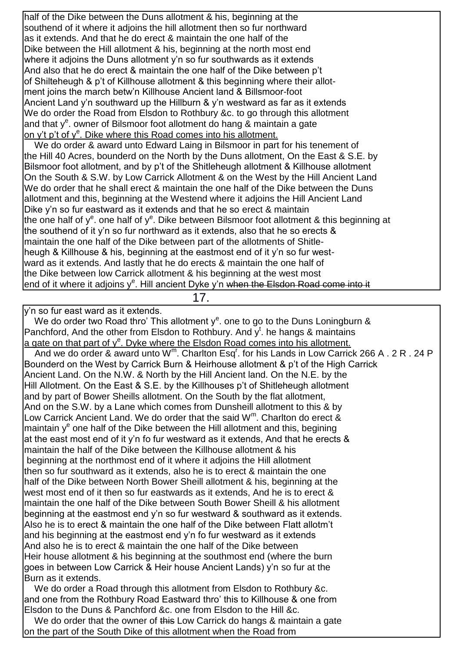half of the Dike between the Duns allotment & his, beginning at the southend of it where it adjoins the hill allotment then so fur northward as it extends. And that he do erect & maintain the one half of the Dike between the Hill allotment & his, beginning at the north most end where it adjoins the Duns allotment y'n so fur southwards as it extends And also that he do erect & maintain the one half of the Dike between p't of Shilteheugh & p't of Killhouse allotment & this beginning where their allotment joins the march betw'n Killhouse Ancient land & Billsmoor-foot Ancient Land y'n southward up the Hillburn & y'n westward as far as it extends We do order the Road from Elsdon to Rothbury &c. to go through this allotment and that  $y^e$ . owner of Bilsmoor foot allotment do hang & maintain a gate on y't p't of y<sup>e</sup>. Dike where this Road comes into his allotment.

 We do order & award unto Edward Laing in Bilsmoor in part for his tenement of the Hill 40 Acres, bounderd on the North by the Duns allotment, On the East & S.E. by Bilsmoor foot allotment, and by p't of the Shitleheugh allotment & Killhouse allotment On the South & S.W. by Low Carrick Allotment & on the West by the Hill Ancient Land We do order that he shall erect & maintain the one half of the Dike between the Duns allotment and this, beginning at the Westend where it adjoins the Hill Ancient Land Dike y'n so fur eastward as it extends and that he so erect & maintain the one half of y<sup>e</sup>. one half of y<sup>e</sup>. Dike between Bilsmoor foot allotment & this beginning at the southend of it y'n so fur northward as it extends, also that he so erects & maintain the one half of the Dike between part of the allotments of Shitleheugh & Killhouse & his, beginning at the eastmost end of it y'n so fur westward as it extends. And lastly that he do erects & maintain the one half of the Dike between low Carrick allotment & his beginning at the west most end of it where it adjoins y<sup>e</sup>. Hill ancient Dyke y'n when the Elsdon Road come into it

17.

y'n so fur east ward as it extends.

We do order two Road thro' This allotment  $y^e$ . one to go to the Duns Loningburn & Panchford, And the other from Elsdon to Rothbury. And  $y<sup>t</sup>$ . he hangs & maintains a gate on that part of y<sup>e</sup>. Dyke where the Elsdon Road comes into his allotment. And we do order & award unto W<sup>m</sup>. Charlton Esq<sup>r</sup>. for his Lands in Low Carrick 266 A . 2 R . 24 P Bounderd on the West by Carrick Burn & Heirhouse allotment & p't of the High Carrick Ancient Land. On the N.W. & North by the Hill Ancient land. On the N.E. by the Hill Allotment. On the East & S.E. by the Killhouses p't of Shitleheugh allotment and by part of Bower Sheills allotment. On the South by the flat allotment, And on the S.W. by a Lane which comes from Dunsheill allotment to this & by Low Carrick Ancient Land. We do order that the said W<sup>m</sup>. Charlton do erect & maintain y<sup>e</sup> one half of the Dike between the Hill allotment and this, begining at the east most end of it y'n fo fur westward as it extends, And that he erects & maintain the half of the Dike between the Killhouse allotment & his beginning at the northmost end of it where it adjoins the Hill allotment then so fur southward as it extends, also he is to erect & maintain the one half of the Dike between North Bower Sheill allotment & his, beginning at the west most end of it then so fur eastwards as it extends, And he is to erect & maintain the one half of the Dike between South Bower Sheill & his allotment beginning at the eastmost end y'n so fur westward & southward as it extends. Also he is to erect & maintain the one half of the Dike between Flatt allotm't and his beginning at the eastmost end y'n fo fur westward as it extends And also he is to erect & maintain the one half of the Dike between Heir house allotment & his beginning at the southmost end (where the burn goes in between Low Carrick & Heir house Ancient Lands) y'n so fur at the Burn as it extends. We do order a Road through this allotment from Elsdon to Rothbury &c.

and one from the Rothbury Road Eastward thro' this to Killhouse & one from Elsdon to the Duns & Panchford &c. one from Elsdon to the Hill &c. We do order that the owner of this Low Carrick do hangs & maintain a gate on the part of the South Dike of this allotment when the Road from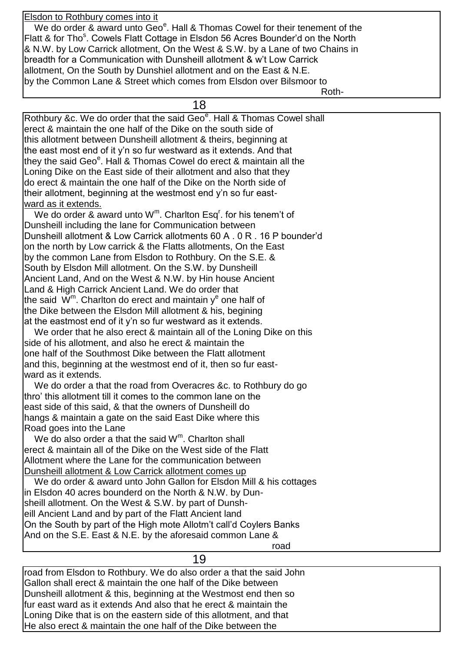Elsdon to Rothbury comes into it

We do order & award unto  $\text{Geo}^e$ . Hall & Thomas Cowel for their tenement of the Flatt & for Tho<sup>s</sup>. Cowels Flatt Cottage in Elsdon 56 Acres Bounder'd on the North & N.W. by Low Carrick allotment, On the West & S.W. by a Lane of two Chains in breadth for a Communication with Dunsheill allotment & w't Low Carrick allotment, On the South by Dunshiel allotment and on the East & N.E. by the Common Lane & Street which comes from Elsdon over Bilsmoor to Roth-

18

Rothbury &c. We do order that the said Geo<sup>e</sup>. Hall & Thomas Cowel shall erect & maintain the one half of the Dike on the south side of this allotment between Dunsheill allotment & theirs, beginning at the east most end of it y'n so fur westward as it extends. And that they the said Geo<sup>e</sup>. Hall & Thomas Cowel do erect & maintain all the Loning Dike on the East side of their allotment and also that they do erect & maintain the one half of the Dike on the North side of their allotment, beginning at the westmost end y'n so fur eastward as it extends. We do order  $\&$  award unto W<sup>m</sup>. Charlton Esq<sup>r</sup>. for his tenem't of Dunsheill including the lane for Communication between Dunsheill allotment & Low Carrick allotments 60 A . 0 R . 16 P bounder'd on the north by Low carrick & the Flatts allotments, On the East by the common Lane from Elsdon to Rothbury. On the S.E. &

South by Elsdon Mill allotment. On the S.W. by Dunsheill Ancient Land, And on the West & N.W. by Hin house Ancient Land & High Carrick Ancient Land. We do order that the said  $\,\rm W^m.$  Charlton do erect and maintain  $\rm y^e$  one half of the Dike between the Elsdon Mill allotment & his, begining at the eastmost end of it y'n so fur westward as it extends.

 We order that he also erect & maintain all of the Loning Dike on this side of his allotment, and also he erect & maintain the one half of the Southmost Dike between the Flatt allotment and this, beginning at the westmost end of it, then so fur eastward as it extends.

 We do order a that the road from Overacres &c. to Rothbury do go thro' this allotment till it comes to the common lane on the east side of this said, & that the owners of Dunsheill do hangs & maintain a gate on the said East Dike where this Road goes into the Lane

We do also order a that the said  $W^m$ . Charlton shall erect & maintain all of the Dike on the West side of the Flatt Allotment where the Lane for the communication between Dunsheill allotment & Low Carrick allotment comes up

We do order & award unto John Gallon for Elsdon Mill & his cottages in Elsdon 40 acres bounderd on the North & N.W. by Dunsheill allotment. On the West & S.W. by part of Dunsheill Ancient Land and by part of the Flatt Ancient land On the South by part of the High mote Allotm't call'd Coylers Banks And on the S.E. East & N.E. by the aforesaid common Lane & road and the contract of the contract of the contract of the contract of the contract of the contract of the c

19

road from Elsdon to Rothbury. We do also order a that the said John Gallon shall erect & maintain the one half of the Dike between Dunsheill allotment & this, beginning at the Westmost end then so fur east ward as it extends And also that he erect & maintain the Loning Dike that is on the eastern side of this allotment, and that He also erect & maintain the one half of the Dike between the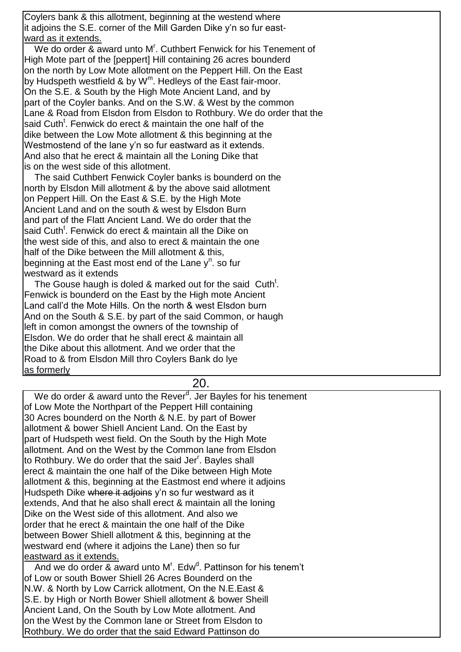Coylers bank & this allotment, beginning at the westend where it adjoins the S.E. corner of the Mill Garden Dike y'n so fur eastward as it extends.

We do order & award unto M<sup>r</sup>. Cuthbert Fenwick for his Tenement of High Mote part of the [peppert] Hill containing 26 acres bounderd on the north by Low Mote allotment on the Peppert Hill. On the East by Hudspeth westfield & by W<sup>m</sup>. Hedleys of the East fair-moor. On the S.E. & South by the High Mote Ancient Land, and by part of the Coyler banks. And on the S.W. & West by the common Lane & Road from Elsdon from Elsdon to Rothbury. We do order that the said Cuth<sup>t</sup>. Fenwick do erect & maintain the one half of the dike between the Low Mote allotment & this beginning at the Westmostend of the lane y'n so fur eastward as it extends. And also that he erect & maintain all the Loning Dike that is on the west side of this allotment.

 The said Cuthbert Fenwick Coyler banks is bounderd on the north by Elsdon Mill allotment & by the above said allotment on Peppert Hill. On the East & S.E. by the High Mote Ancient Land and on the south & west by Elsdon Burn and part of the Flatt Ancient Land. We do order that the said Cuth<sup>t</sup>. Fenwick do erect & maintain all the Dike on the west side of this, and also to erect & maintain the one half of the Dike between the Mill allotment & this, beginning at the East most end of the Lane y<sup>n</sup>. so fur westward as it extends

The Gouse haugh is doled & marked out for the said Cuth<sup>t</sup>. Fenwick is bounderd on the East by the High mote Ancient Land call'd the Mote Hills. On the north & west Elsdon burn And on the South & S.E. by part of the said Common, or haugh left in comon amongst the owners of the township of Elsdon. We do order that he shall erect & maintain all the Dike about this allotment. And we order that the Road to & from Elsdon Mill thro Coylers Bank do lye as formerly

#### 20.

We do order & award unto the Rever<sup>d</sup>. Jer Bayles for his tenement of Low Mote the Northpart of the Peppert Hill containing 30 Acres bounderd on the North & N.E. by part of Bower allotment & bower Shiell Ancient Land. On the East by part of Hudspeth west field. On the South by the High Mote allotment. And on the West by the Common lane from Elsdon to Rothbury. We do order that the said Jer<sup>r</sup>. Bayles shall erect & maintain the one half of the Dike between High Mote allotment & this, beginning at the Eastmost end where it adjoins Hudspeth Dike where it adjoins y'n so fur westward as it extends, And that he also shall erect & maintain all the loning Dike on the West side of this allotment. And also we order that he erect & maintain the one half of the Dike between Bower Shiell allotment & this, beginning at the westward end (where it adjoins the Lane) then so fur eastward as it extends. And we do order & award unto M<sup>r</sup>. Edw<sup>d</sup>. Pattinson for his tenem't

of Low or south Bower Shiell 26 Acres Bounderd on the N.W. & North by Low Carrick allotment, On the N.E.East & S.E. by High or North Bower Shiell allotment & bower Sheill Ancient Land, On the South by Low Mote allotment. And on the West by the Common lane or Street from Elsdon to Rothbury. We do order that the said Edward Pattinson do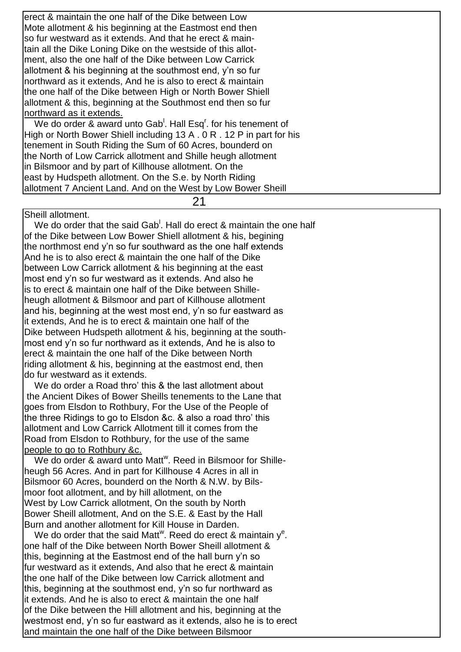erect & maintain the one half of the Dike between Low Mote allotment & his beginning at the Eastmost end then so fur westward as it extends. And that he erect & maintain all the Dike Loning Dike on the westside of this allotment, also the one half of the Dike between Low Carrick allotment & his beginning at the southmost end, y'n so fur northward as it extends, And he is also to erect & maintain the one half of the Dike between High or North Bower Shiell allotment & this, beginning at the Southmost end then so fur northward as it extends. We do order & award unto Gab<sup>1</sup>. Hall Esq<sup>r</sup>. for his tenement of High or North Bower Shiell including 13 A . 0 R . 12 P in part for his tenement in South Riding the Sum of 60 Acres, bounderd on the North of Low Carrick allotment and Shille heugh allotment in Bilsmoor and by part of Killhouse allotment. On the east by Hudspeth allotment. On the S.e. by North Riding

21

Sheill allotment.

We do order that the said Gab<sup>1</sup>. Hall do erect  $\&$  maintain the one half of the Dike between Low Bower Shiell allotment & his, begining the northmost end y'n so fur southward as the one half extends And he is to also erect & maintain the one half of the Dike between Low Carrick allotment & his beginning at the east most end y'n so fur westward as it extends. And also he is to erect & maintain one half of the Dike between Shilleheugh allotment & Bilsmoor and part of Killhouse allotment and his, beginning at the west most end, y'n so fur eastward as it extends, And he is to erect & maintain one half of the Dike between Hudspeth allotment & his, beginning at the southmost end y'n so fur northward as it extends, And he is also to erect & maintain the one half of the Dike between North riding allotment & his, beginning at the eastmost end, then do fur westward as it extends.

allotment 7 Ancient Land. And on the West by Low Bower Sheill

 We do order a Road thro' this & the last allotment about the Ancient Dikes of Bower Sheills tenements to the Lane that goes from Elsdon to Rothbury, For the Use of the People of the three Ridings to go to Elsdon &c. & also a road thro' this allotment and Low Carrick Allotment till it comes from the Road from Elsdon to Rothbury, for the use of the same people to go to Rothbury &c.

We do order & award unto Matt<sup>w</sup>. Reed in Bilsmoor for Shilleheugh 56 Acres. And in part for Killhouse 4 Acres in all in Bilsmoor 60 Acres, bounderd on the North & N.W. by Bilsmoor foot allotment, and by hill allotment, on the West by Low Carrick allotment, On the south by North Bower Sheill allotment, And on the S.E. & East by the Hall Burn and another allotment for Kill House in Darden.

We do order that the said Matt<sup>w</sup>. Reed do erect & maintain  $y^e$ . one half of the Dike between North Bower Sheill allotment & this, beginning at the Eastmost end of the hall burn y'n so fur westward as it extends, And also that he erect & maintain the one half of the Dike between low Carrick allotment and this, beginning at the southmost end, y'n so fur northward as it extends. And he is also to erect & maintain the one half of the Dike between the Hill allotment and his, beginning at the westmost end, y'n so fur eastward as it extends, also he is to erect and maintain the one half of the Dike between Bilsmoor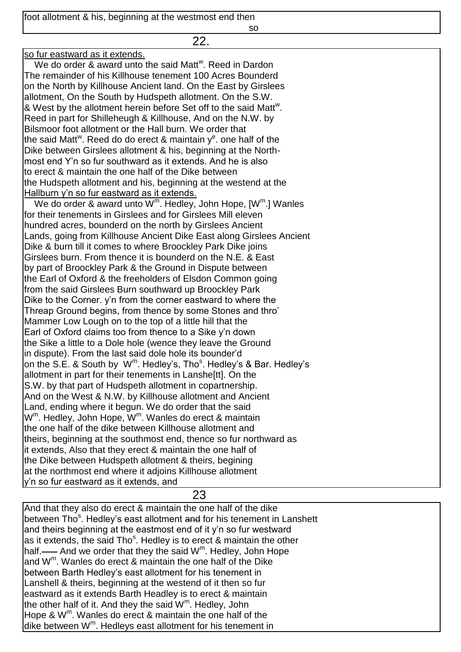foot allotment & his, beginning at the westmost end then

some and the state of the state of the state of the state of the state of the state of the state of the state o

| 22.                                                                                           |
|-----------------------------------------------------------------------------------------------|
| so fur eastward as it extends.                                                                |
| We do order & award unto the said Matt <sup>w</sup> . Reed in Dardon                          |
| The remainder of his Killhouse tenement 100 Acres Bounderd                                    |
| on the North by Killhouse Ancient land. On the East by Girslees                               |
| allotment, On the South by Hudspeth allotment. On the S.W.                                    |
| & West by the allotment herein before Set off to the said Matt <sup>w</sup> .                 |
| Reed in part for Shilleheugh & Killhouse, And on the N.W. by                                  |
| Bilsmoor foot allotment or the Hall burn. We order that                                       |
| the said Matt <sup>w</sup> . Reed do do erect & maintain $ye$ . one half of the               |
| Dike between Girslees allotment & his, beginning at the North-                                |
| most end Y'n so fur southward as it extends. And he is also                                   |
| to erect & maintain the one half of the Dike between                                          |
| the Hudspeth allotment and his, beginning at the westend at the                               |
| Hallburn y'n so fur eastward as it extends.                                                   |
| We do order & award unto W <sup>m</sup> . Hedley, John Hope, [W <sup>m</sup> .] Wanles        |
| for their tenements in Girslees and for Girslees Mill eleven                                  |
| hundred acres, bounderd on the north by Girslees Ancient                                      |
| Lands, going from Killhouse Ancient Dike East along Girslees Ancient                          |
| Dike & burn till it comes to where Broockley Park Dike joins                                  |
| Girslees burn. From thence it is bounderd on the N.E. & East                                  |
| by part of Broockley Park & the Ground in Dispute between                                     |
| the Earl of Oxford & the freeholders of Elsdon Common going                                   |
| from the said Girslees Burn southward up Broockley Park                                       |
| Dike to the Corner. y'n from the corner eastward to where the                                 |
| Threap Ground begins, from thence by some Stones and thro'                                    |
| Mammer Low Lough on to the top of a little hill that the                                      |
| Earl of Oxford claims too from thence to a Sike y'n down                                      |
| the Sike a little to a Dole hole (wence they leave the Ground                                 |
| in dispute). From the last said dole hole its bounder'd                                       |
| on the S.E. & South by W <sup>m</sup> . Hedley's, Tho <sup>s</sup> . Hedley's & Bar. Hedley's |
| allotment in part for their tenements in Lanshe <sup>[tt]</sup> . On the                      |
| S.W. by that part of Hudspeth allotment in copartnership.                                     |
| And on the West & N.W. by Killhouse allotment and Ancient                                     |
| Land, ending where it begun. We do order that the said                                        |
| W <sup>m</sup> . Hedley, John Hope, W <sup>m</sup> . Wanles do erect & maintain               |
| the one half of the dike between Killhouse allotment and                                      |
| theirs, beginning at the southmost end, thence so fur northward as                            |
| it extends, Also that they erect & maintain the one half of                                   |
| the Dike between Hudspeth allotment & theirs, begining                                        |
| at the northmost end where it adjoins Killhouse allotment                                     |
| y'n so fur eastward as it extends, and                                                        |

23

And that they also do erect & maintain the one half of the dike between Tho<sup>s</sup>. Hedley's east allotment <del>and</del> for his tenement in Lanshett and theirs beginning at the eastmost end of it y'n so fur westward as it extends, the said Tho<sup>s</sup>. Hedley is to erect & maintain the other half.  $\longrightarrow$  And we order that they the said W<sup>m</sup>. Hedley, John Hope and W<sup>m</sup> . Wanles do erect & maintain the one half of the Dike between Barth Hedley's east allotment for his tenement in Lanshell & theirs, beginning at the westend of it then so fur eastward as it extends Barth Headley is to erect & maintain the other half of it. And they the said  $W^m$ . Hedley, John Hope & W<sup>m</sup>. Wanles do erect & maintain the one half of the dike between W<sup>m</sup>. Hedleys east allotment for his tenement in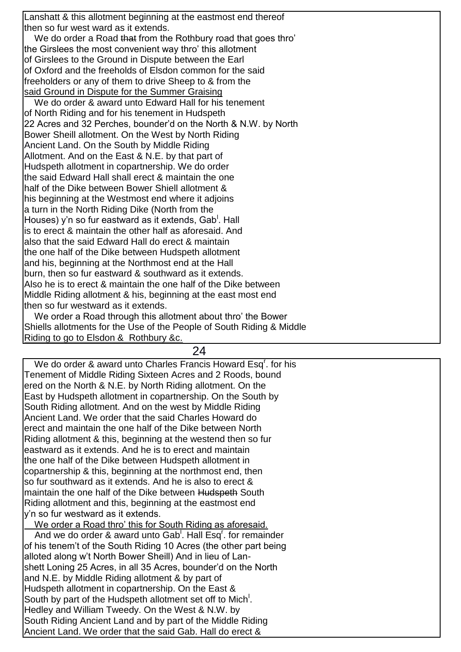Lanshatt & this allotment beginning at the eastmost end thereof then so fur west ward as it extends.

We do order a Road that from the Rothbury road that goes thro' the Girslees the most convenient way thro' this allotment of Girslees to the Ground in Dispute between the Earl of Oxford and the freeholds of Elsdon common for the said freeholders or any of them to drive Sheep to & from the said Ground in Dispute for the Summer Graising

 We do order & award unto Edward Hall for his tenement of North Riding and for his tenement in Hudspeth 22 Acres and 32 Perches, bounder'd on the North & N.W. by North Bower Sheill allotment. On the West by North Riding Ancient Land. On the South by Middle Riding Allotment. And on the East & N.E. by that part of Hudspeth allotment in copartnership. We do order the said Edward Hall shall erect & maintain the one half of the Dike between Bower Shiell allotment & his beginning at the Westmost end where it adjoins a turn in the North Riding Dike (North from the Houses) y'n so fur eastward as it extends, Gab<sup>l</sup>. Hall is to erect & maintain the other half as aforesaid. And also that the said Edward Hall do erect & maintain the one half of the Dike between Hudspeth allotment and his, beginning at the Northmost end at the Hall burn, then so fur eastward & southward as it extends. Also he is to erect & maintain the one half of the Dike between Middle Riding allotment & his, beginning at the east most end then so fur westward as it extends.

 We order a Road through this allotment about thro' the Bower Shiells allotments for the Use of the People of South Riding & Middle Riding to go to Elsdon & Rothbury &c.

24

We do order & award unto Charles Francis Howard Esq<sup>r</sup>. for his Tenement of Middle Riding Sixteen Acres and 2 Roods, bound ered on the North & N.E. by North Riding allotment. On the East by Hudspeth allotment in copartnership. On the South by South Riding allotment. And on the west by Middle Riding Ancient Land. We order that the said Charles Howard do erect and maintain the one half of the Dike between North Riding allotment & this, beginning at the westend then so fur eastward as it extends. And he is to erect and maintain the one half of the Dike between Hudspeth allotment in copartnership & this, beginning at the northmost end, then so fur southward as it extends. And he is also to erect & maintain the one half of the Dike between Hudspeth South Riding allotment and this, beginning at the eastmost end y'n so fur westward as it extends. We order a Road thro' this for South Riding as aforesaid. And we do order & award unto Gab<sup>1</sup>. Hall Esq<sup>r</sup>. for remainder of his tenem't of the South Riding 10 Acres (the other part being alloted along w't North Bower Sheill) And in lieu of Lanshett Loning 25 Acres, in all 35 Acres, bounder'd on the North and N.E. by Middle Riding allotment & by part of Hudspeth allotment in copartnership. On the East & South by part of the Hudspeth allotment set off to Mich<sup>1</sup>. Hedley and William Tweedy. On the West & N.W. by South Riding Ancient Land and by part of the Middle Riding

Ancient Land. We order that the said Gab. Hall do erect &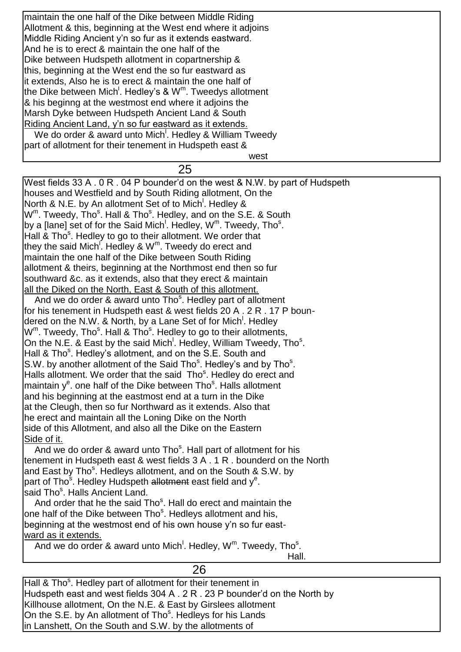maintain the one half of the Dike between Middle Riding Allotment & this, beginning at the West end where it adjoins Middle Riding Ancient y'n so fur as it extends eastward. And he is to erect & maintain the one half of the Dike between Hudspeth allotment in copartnership & this, beginning at the West end the so fur eastward as it extends, Also he is to erect & maintain the one half of the Dike between Mich<sup>!</sup>. Hedley's & W<sup>m</sup>. Tweedys allotment & his beginng at the westmost end where it adjoins the Marsh Dyke between Hudspeth Ancient Land & South Riding Ancient Land, y'n so fur eastward as it extends. We do order & award unto Mich<sup>1</sup>. Hedley & William Tweedy part of allotment for their tenement in Hudspeth east &

west and the contract of the contract of the contract of the contract of the contract of the contract of the contract of the contract of the contract of the contract of the contract of the contract of the contract of the c

#### 25

West fields 33 A . 0 R . 04 P bounder'd on the west & N.W. by part of Hudspeth houses and Westfield and by South Riding allotment, On the North & N.E. by An allotment Set of to Mich<sup>!</sup>. Hedley & W<sup>m</sup>. Tweedy, Tho<sup>s</sup>. Hall & Tho<sup>s</sup>. Hedley, and on the S.E. & South by a [lane] set of for the Said Mich<sup>!</sup>. Hedley, W<sup>m</sup>. Tweedy, Tho<sup>s</sup>. Hall & Tho<sup>s</sup>. Hedley to go to their allotment. We order that they the said Mich<sup>i</sup>. Hedley & W<sup>m</sup>. Tweedy do erect and maintain the one half of the Dike between South Riding allotment & theirs, beginning at the Northmost end then so fur southward &c. as it extends, also that they erect & maintain all the Diked on the North, East & South of this allotment. And we do order & award unto Tho<sup>s</sup>. Hedley part of allotment for his tenement in Hudspeth east & west fields 20 A . 2 R . 17 P boundered on the N.W. & North, by a Lane Set of for Mich<sup>!</sup>. Hedley W<sup>m</sup>. Tweedy, Tho<sup>s</sup>. Hall & Tho<sup>s</sup>. Hedley to go to their allotments, On the N.E. & East by the said Mich<sup>!</sup>. Hedley, William Tweedy, Tho<sup>s</sup>. Hall & Tho<sup>s</sup>. Hedley's allotment, and on the S.E. South and S.W. by another allotment of the Said Tho<sup>s</sup>. Hedley's and by Tho<sup>s</sup>. Halls allotment. We order that the said Tho<sup>s</sup>. Hedley do erect and maintain y<sup>e</sup>. one half of the Dike between Tho<sup>s</sup>. Halls allotment and his beginning at the eastmost end at a turn in the Dike at the Cleugh, then so fur Northward as it extends. Also that he erect and maintain all the Loning Dike on the North side of this Allotment, and also all the Dike on the Eastern Side of it. And we do order & award unto Tho<sup>s</sup>. Hall part of allotment for his tenement in Hudspeth east & west fields 3 A . 1 R . bounderd on the North and East by Tho<sup>s</sup>. Hedleys allotment, and on the South & S.W. by

part of Tho<sup>s</sup>. Hedley Hudspeth allotment east field and y<sup>e</sup>.

.<br>said Tho<sup>s</sup>. Halls Ancient Land.

And order that he the said Tho<sup>s</sup>. Hall do erect and maintain the one half of the Dike between Tho<sup>s</sup>. Hedleys allotment and his, beginning at the westmost end of his own house y'n so fur eastward as it extends.

And we do order & award unto Mich<sup>1</sup>. Hedley,  $W^m$ . Tweedy, Tho<sup>s</sup>.

Hall.

| Hall & Tho <sup>s</sup> . Hedley part of allotment for their tenement in   |
|----------------------------------------------------------------------------|
| Hudspeth east and west fields 304 A . 2 R . 23 P bounder'd on the North by |
| Killhouse allotment, On the N.E. & East by Girslees allotment              |
| On the S.E. by An allotment of Tho <sup>s</sup> . Hedleys for his Lands    |
| in Lanshett, On the South and S.W. by the allotments of                    |

26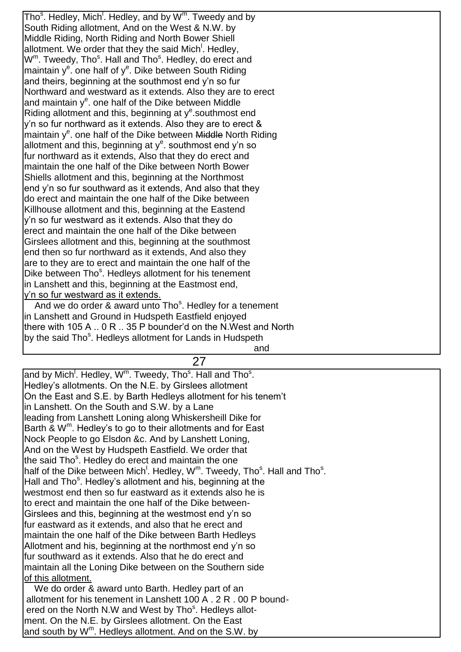Tho<sup>s</sup>. Hedley, Mich<sup>!</sup>. Hedley, and by W<sup>m</sup>. Tweedy and by South Riding allotment, And on the West & N.W. by Middle Riding, North Riding and North Bower Shiell allotment. We order that they the said Mich<sup>!</sup>. Hedley, W<sup>m</sup>. Tweedy, Tho<sup>s</sup>. Hall and Tho<sup>s</sup>. Hedley, do erect and maintain y<sup>e</sup>. one half of y<sup>e</sup>. Dike between South Riding and theirs, beginning at the southmost end y'n so fur Northward and westward as it extends. Also they are to erect and maintain  $y^e$ . one half of the Dike between Middle Riding allotment and this, beginning at y<sup>e</sup> southmost end y'n so fur northward as it extends. Also they are to erect & maintain y<sup>e</sup>. one half of the Dike between Middle North Riding allotment and this, beginning at y<sup>e</sup>. southmost end y'n so fur northward as it extends, Also that they do erect and maintain the one half of the Dike between North Bower Shiells allotment and this, beginning at the Northmost end y'n so fur southward as it extends, And also that they do erect and maintain the one half of the Dike between Killhouse allotment and this, beginning at the Eastend y'n so fur westward as it extends. Also that they do erect and maintain the one half of the Dike between Girslees allotment and this, beginning at the southmost end then so fur northward as it extends, And also they are to they are to erect and maintain the one half of the Dike between Tho<sup>s</sup>. Hedleys allotment for his tenement in Lanshett and this, beginning at the Eastmost end, y'n so fur westward as it extends. And we do order & award unto Tho<sup>s</sup>. Hedley for a tenement

in Lanshett and Ground in Hudspeth Eastfield enjoyed there with 105 A .. 0 R .. 35 P bounder'd on the N.West and North by the said Tho<sup>s</sup>. Hedleys allotment for Lands in Hudspeth and the contract of the contract of the contract of the contract of the contract of the contract of the contract of the contract of the contract of the contract of the contract of the contract of the contract of the contra

27

and by Mich<sup>!</sup>. Hedley, W<sup>m</sup>. Tweedy, Tho<sup>s</sup>. Hall and Tho<sup>s</sup>. Hedley's allotments. On the N.E. by Girslees allotment On the East and S.E. by Barth Hedleys allotment for his tenem't in Lanshett. On the South and S.W. by a Lane leading from Lanshett Loning along Whiskersheill Dike for Barth & W<sup>m</sup>. Hedley's to go to their allotments and for East Nock People to go Elsdon &c. And by Lanshett Loning, And on the West by Hudspeth Eastfield. We order that the said Tho<sup>s</sup>. Hedley do erect and maintain the one half of the Dike between Mich<sup>!</sup>. Hedley, W<sup>m</sup>. Tweedy, Tho<sup>s</sup>. Hall and Tho<sup>s</sup>. Hall and Tho<sup>s</sup>. Hedley's allotment and his, beginning at the westmost end then so fur eastward as it extends also he is to erect and maintain the one half of the Dike between-Girslees and this, beginning at the westmost end y'n so fur eastward as it extends, and also that he erect and maintain the one half of the Dike between Barth Hedleys Allotment and his, beginning at the northmost end y'n so fur southward as it extends. Also that he do erect and maintain all the Loning Dike between on the Southern side of this allotment. We do order & award unto Barth. Hedley part of an allotment for his tenement in Lanshett 100 A . 2 R . 00 P bound-

ered on the North N.W and West by Tho<sup>s</sup>. Hedleys allotment. On the N.E. by Girslees allotment. On the East

and south by W<sup>m</sup>. Hedleys allotment. And on the S.W. by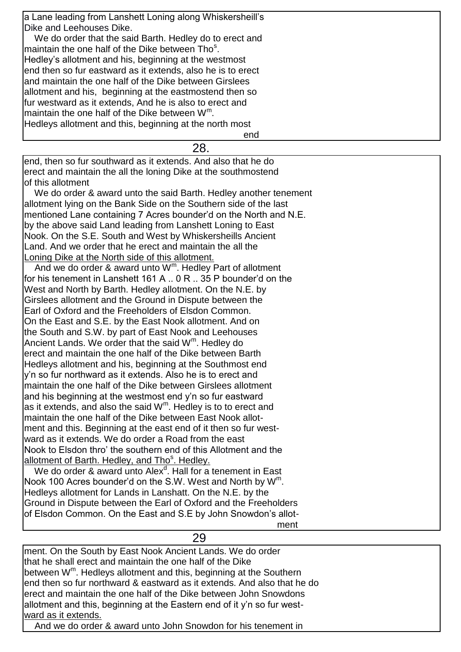a Lane leading from Lanshett Loning along Whiskersheill's Dike and Leehouses Dike.

 We do order that the said Barth. Hedley do to erect and maintain the one half of the Dike between Tho<sup>s</sup>. Hedley's allotment and his, beginning at the westmost end then so fur eastward as it extends, also he is to erect and maintain the one half of the Dike between Girslees allotment and his, beginning at the eastmostend then so fur westward as it extends, And he is also to erect and maintain the one half of the Dike between  $W^m$ . Hedleys allotment and this, beginning at the north most

end and the contract of the contract of the contract of the contract of the contract of the contract of the co

28.

end, then so fur southward as it extends. And also that he do erect and maintain the all the loning Dike at the southmostend of this allotment

 We do order & award unto the said Barth. Hedley another tenement allotment lying on the Bank Side on the Southern side of the last mentioned Lane containing 7 Acres bounder'd on the North and N.E. by the above said Land leading from Lanshett Loning to East Nook. On the S.E. South and West by Whiskersheills Ancient Land. And we order that he erect and maintain the all the Loning Dike at the North side of this allotment.

And we do order & award unto W<sup>m</sup>. Hedley Part of allotment for his tenement in Lanshett 161 A .. 0 R .. 35 P bounder'd on the West and North by Barth. Hedley allotment. On the N.E. by Girslees allotment and the Ground in Dispute between the Earl of Oxford and the Freeholders of Elsdon Common. On the East and S.E. by the East Nook allotment. And on the South and S.W. by part of East Nook and Leehouses Ancient Lands. We order that the said  $W<sup>m</sup>$ . Hedley do erect and maintain the one half of the Dike between Barth Hedleys allotment and his, beginning at the Southmost end y'n so fur northward as it extends. Also he is to erect and maintain the one half of the Dike between Girslees allotment and his beginning at the westmost end y'n so fur eastward as it extends, and also the said  $W^m$ . Hedley is to to erect and maintain the one half of the Dike between East Nook allotment and this. Beginning at the east end of it then so fur westward as it extends. We do order a Road from the east Nook to Elsdon thro' the southern end of this Allotment and the allotment of Barth. Hedley, and Tho<sup>s</sup>. Hedley.

We do order & award unto Alex<sup>d</sup>. Hall for a tenement in East Nook 100 Acres bounder'd on the S.W. West and North by  $W^m$ . Hedleys allotment for Lands in Lanshatt. On the N.E. by the Ground in Dispute between the Earl of Oxford and the Freeholders of Elsdon Common. On the East and S.E by John Snowdon's allot-

ment and the contract of the contract of the contract of the contract of the contract of the contract of the c

ment. On the South by East Nook Ancient Lands. We do order that he shall erect and maintain the one half of the Dike between W<sup>m</sup>. Hedleys allotment and this, beginning at the Southern end then so fur northward & eastward as it extends. And also that he do erect and maintain the one half of the Dike between John Snowdons allotment and this, beginning at the Eastern end of it y'n so fur westward as it extends. And we do order & award unto John Snowdon for his tenement in

29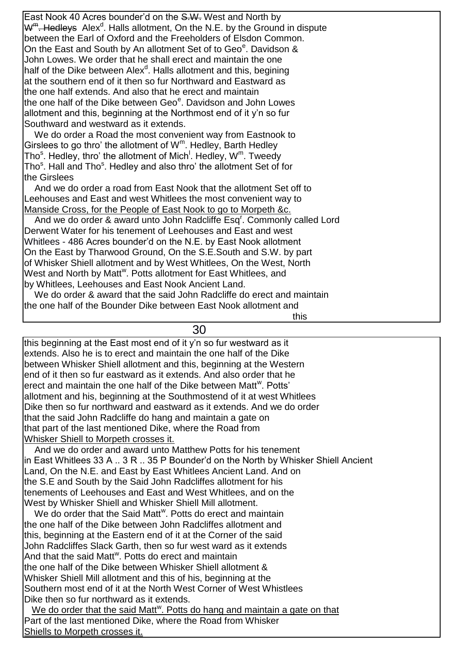East Nook 40 Acres bounder'd on the S.W. West and North by W<sup>m</sup>. Hedleys Alex<sup>d</sup>. Halls allotment, On the N.E. by the Ground in dispute between the Earl of Oxford and the Freeholders of Elsdon Common. On the East and South by An allotment Set of to Geo<sup>e</sup>. Davidson & John Lowes. We order that he shall erect and maintain the one half of the Dike between Alex<sup>d</sup>. Halls allotment and this, begining at the southern end of it then so fur Northward and Eastward as the one half extends. And also that he erect and maintain the one half of the Dike between Geo<sup>e</sup>. Davidson and John Lowes allotment and this, beginning at the Northmost end of it y'n so fur Southward and westward as it extends.

 We do order a Road the most convenient way from Eastnook to Girslees to go thro' the allotment of  $W^m$ . Hedley, Barth Hedley Tho<sup>s</sup>. Hedley, thro' the allotment of Mich<sup>!</sup>. Hedley, W<sup>m</sup>. Tweedy Tho<sup>s</sup>. Hall and Tho<sup>s</sup>. Hedley and also thro' the allotment Set of for the Girslees

 And we do order a road from East Nook that the allotment Set off to Leehouses and East and west Whitlees the most convenient way to Manside Cross, for the People of East Nook to go to Morpeth &c.

And we do order & award unto John Radcliffe Esq<sup>r</sup>. Commonly called Lord Derwent Water for his tenement of Leehouses and East and west Whitlees - 486 Acres bounder'd on the N.E. by East Nook allotment On the East by Tharwood Ground, On the S.E.South and S.W. by part of Whisker Shiell allotment and by West Whitlees, On the West, North West and North by Matt<sup>w</sup>. Potts allotment for East Whitlees, and by Whitlees, Leehouses and East Nook Ancient Land.

We do order & award that the said John Radcliffe do erect and maintain the one half of the Bounder Dike between East Nook allotment and

30

this is a state of the contract of the contract of the contract of the contract of the contract of the contract of the contract of the contract of the contract of the contract of the contract of the contract of the contrac

this beginning at the East most end of it y'n so fur westward as it extends. Also he is to erect and maintain the one half of the Dike between Whisker Shiell allotment and this, beginning at the Western end of it then so fur eastward as it extends. And also order that he erect and maintain the one half of the Dike between Matt<sup>w</sup>. Potts' allotment and his, beginning at the Southmostend of it at west Whitlees Dike then so fur northward and eastward as it extends. And we do order that the said John Radcliffe do hang and maintain a gate on that part of the last mentioned Dike, where the Road from Whisker Shiell to Morpeth crosses it.

 And we do order and award unto Matthew Potts for his tenement in East Whitlees 33 A .. 3 R .. 35 P Bounder'd on the North by Whisker Shiell Ancient Land, On the N.E. and East by East Whitlees Ancient Land. And on the S.E and South by the Said John Radcliffes allotment for his tenements of Leehouses and East and West Whitlees, and on the West by Whisker Shiell and Whisker Shiell Mill allotment.

We do order that the Said Matt<sup>w</sup>. Potts do erect and maintain the one half of the Dike between John Radcliffes allotment and this, beginning at the Eastern end of it at the Corner of the said John Radcliffes Slack Garth, then so fur west ward as it extends And that the said Matt<sup>w</sup>. Potts do erect and maintain the one half of the Dike between Whisker Shiell allotment & Whisker Shiell Mill allotment and this of his, beginning at the Southern most end of it at the North West Corner of West Whistlees Dike then so fur northward as it extends.

We do order that the said Matt<sup>w</sup>. Potts do hang and maintain a gate on that Part of the last mentioned Dike, where the Road from Whisker Shiells to Morpeth crosses it.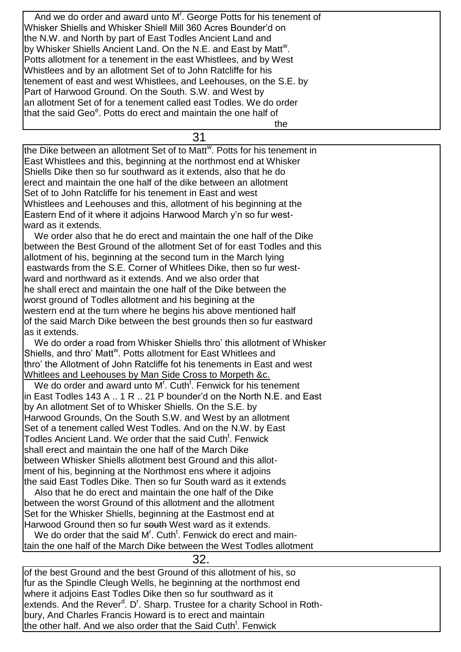And we do order and award unto M'. George Potts for his tenement of Whisker Shiells and Whisker Shiell Mill 360 Acres Bounder'd on the N.W. and North by part of East Todles Ancient Land and by Whisker Shiells Ancient Land. On the N.E. and East by Matt<sup>w</sup>. Potts allotment for a tenement in the east Whistlees, and by West Whistlees and by an allotment Set of to John Ratcliffe for his tenement of east and west Whistlees, and Leehouses, on the S.E. by Part of Harwood Ground. On the South. S.W. and West by an allotment Set of for a tenement called east Todles. We do order that the said Geo<sup>e</sup>. Potts do erect and maintain the one half of the contract of the contract of the contract of the contract of the contract of the contract of the contract of

31

the Dike between an allotment Set of to Matt<sup>w</sup>. Potts for his tenement in East Whistlees and this, beginning at the northmost end at Whisker Shiells Dike then so fur southward as it extends, also that he do erect and maintain the one half of the dike between an allotment Set of to John Ratcliffe for his tenement in East and west Whistlees and Leehouses and this, allotment of his beginning at the Eastern End of it where it adjoins Harwood March y'n so fur westward as it extends.

 We order also that he do erect and maintain the one half of the Dike between the Best Ground of the allotment Set of for east Todles and this allotment of his, beginning at the second turn in the March lying eastwards from the S.E. Corner of Whitlees Dike, then so fur westward and northward as it extends. And we also order that he shall erect and maintain the one half of the Dike between the worst ground of Todles allotment and his begining at the western end at the turn where he begins his above mentioned half of the said March Dike between the best grounds then so fur eastward as it extends.

 We do order a road from Whisker Shiells thro' this allotment of Whisker Shiells, and thro' Matt<sup>w</sup>. Potts allotment for East Whitlees and thro' the Allotment of John Ratcliffe fot his tenements in East and west Whitlees and Leehouses by Man Side Cross to Morpeth &c.

We do order and award unto M<sup>r</sup>. Cuth<sup>t</sup>. Fenwick for his tenement in East Todles 143 A .. 1 R .. 21 P bounder'd on the North N.E. and East by An allotment Set of to Whisker Shiells. On the S.E. by Harwood Grounds, On the South S.W. and West by an allotment Set of a tenement called West Todles. And on the N.W. by East Todles Ancient Land. We order that the said Cuth<sup>t</sup>. Fenwick shall erect and maintain the one half of the March Dike between Whisker Shiells allotment best Ground and this allotment of his, beginning at the Northmost ens where it adjoins the said East Todles Dike. Then so fur South ward as it extends

 Also that he do erect and maintain the one half of the Dike between the worst Ground of this allotment and the allotment Set for the Whisker Shiells, beginning at the Eastmost end at Harwood Ground then so fur south West ward as it extends.

We do order that the said  $M<sup>r</sup>$ . Cuth<sup>t</sup>. Fenwick do erect and maintain the one half of the March Dike between the West Todles allotment

of the best Ground and the best Ground of this allotment of his, so fur as the Spindle Cleugh Wells, he beginning at the northmost end where it adjoins East Todles Dike then so fur southward as it extends. And the Rever<sup>d</sup>. D<sup>r</sup>. Sharp. Trustee for a charity School in Rothbury, And Charles Francis Howard is to erect and maintain the other half. And we also order that the Said Cuth<sup>t</sup>. Fenwick

32.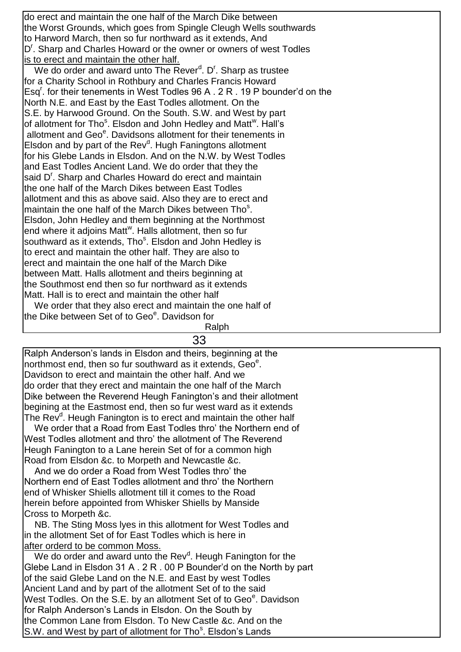do erect and maintain the one half of the March Dike between the Worst Grounds, which goes from Spingle Cleugh Wells southwards to Harword March, then so fur northward as it extends, And D<sup>r</sup>. Sharp and Charles Howard or the owner or owners of west Todles is to erect and maintain the other half.

We do order and award unto The Rever<sup>d</sup>. D<sup>r</sup>. Sharp as trustee for a Charity School in Rothbury and Charles Francis Howard Esq<sup>r</sup>. for their tenements in West Todles 96 A . 2 R . 19 P bounder'd on the North N.E. and East by the East Todles allotment. On the S.E. by Harwood Ground. On the South. S.W. and West by part of allotment for Tho<sup>s</sup>. Elsdon and John Hedley and Matt<sup>w</sup>. Hall's allotment and Geo<sup>e</sup>. Davidsons allotment for their tenements in Elsdon and by part of the Rev<sup>d</sup>. Hugh Faningtons allotment for his Glebe Lands in Elsdon. And on the N.W. by West Todles and East Todles Ancient Land. We do order that they the said D<sup>r</sup>. Sharp and Charles Howard do erect and maintain the one half of the March Dikes between East Todles allotment and this as above said. Also they are to erect and maintain the one half of the March Dikes between Tho<sup>s</sup>. Elsdon, John Hedley and them beginning at the Northmost end where it adjoins Matt<sup>w</sup>. Halls allotment, then so fur southward as it extends, Tho<sup>s</sup>. Elsdon and John Hedley is to erect and maintain the other half. They are also to erect and maintain the one half of the March Dike between Matt. Halls allotment and theirs beginning at the Southmost end then so fur northward as it extends Matt. Hall is to erect and maintain the other half We order that they also erect and maintain the one half of

the Dike between Set of to Geo<sup>e</sup>. Davidson for

Ralph

33

Ralph Anderson's lands in Elsdon and theirs, beginning at the northmost end, then so fur southward as it extends, Geo<sup>e</sup>. Davidson to erect and maintain the other half. And we do order that they erect and maintain the one half of the March Dike between the Reverend Heugh Fanington's and their allotment begining at the Eastmost end, then so fur west ward as it extends The Rev<sup>d</sup>. Heugh Fanington is to erect and maintain the other half

 We order that a Road from East Todles thro' the Northern end of West Todles allotment and thro' the allotment of The Reverend Heugh Fanington to a Lane herein Set of for a common high Road from Elsdon &c. to Morpeth and Newcastle &c.

 And we do order a Road from West Todles thro' the Northern end of East Todles allotment and thro' the Northern end of Whisker Shiells allotment till it comes to the Road herein before appointed from Whisker Shiells by Manside Cross to Morpeth &c.

 NB. The Sting Moss lyes in this allotment for West Todles and in the allotment Set of for East Todles which is here in after orderd to be common Moss.

We do order and award unto the Rev<sup>d</sup>. Heugh Fanington for the Glebe Land in Elsdon 31 A . 2 R . 00 P Bounder'd on the North by part of the said Glebe Land on the N.E. and East by west Todles Ancient Land and by part of the allotment Set of to the said West Todles. On the S.E. by an allotment Set of to Geo<sup>e</sup>. Davidson for Ralph Anderson's Lands in Elsdon. On the South by the Common Lane from Elsdon. To New Castle &c. And on the S.W. and West by part of allotment for Tho<sup>s</sup>. Elsdon's Lands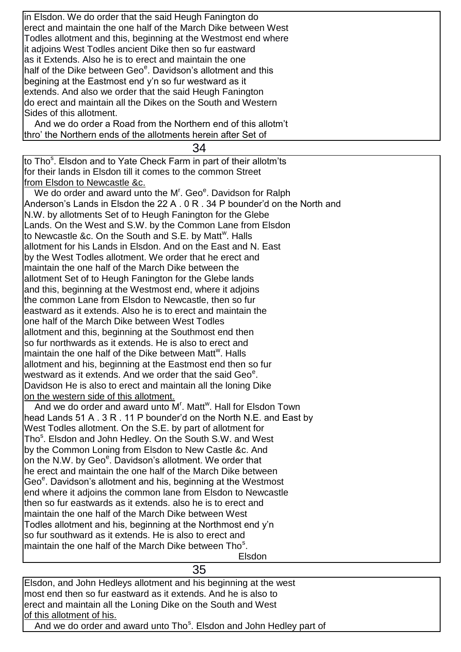in Elsdon. We do order that the said Heugh Fanington do erect and maintain the one half of the March Dike between West Todles allotment and this, beginning at the Westmost end where it adjoins West Todles ancient Dike then so fur eastward as it Extends. Also he is to erect and maintain the one half of the Dike between Geo<sup>e</sup>. Davidson's allotment and this begining at the Eastmost end y'n so fur westward as it extends. And also we order that the said Heugh Fanington do erect and maintain all the Dikes on the South and Western Sides of this allotment.

 And we do order a Road from the Northern end of this allotm't thro' the Northern ends of the allotments herein after Set of

34

to Tho<sup>s</sup>. Elsdon and to Yate Check Farm in part of their allotm'ts for their lands in Elsdon till it comes to the common Street from Elsdon to Newcastle &c.

We do order and award unto the M<sup>r</sup>. Geo<sup>e</sup>. Davidson for Ralph Anderson's Lands in Elsdon the 22 A . 0 R . 34 P bounder'd on the North and N.W. by allotments Set of to Heugh Fanington for the Glebe Lands. On the West and S.W. by the Common Lane from Elsdon to Newcastle &c. On the South and S.E. by Matt<sup>w</sup>. Halls allotment for his Lands in Elsdon. And on the East and N. East by the West Todles allotment. We order that he erect and maintain the one half of the March Dike between the allotment Set of to Heugh Fanington for the Glebe lands and this, beginning at the Westmost end, where it adjoins the common Lane from Elsdon to Newcastle, then so fur eastward as it extends. Also he is to erect and maintain the one half of the March Dike between West Todles allotment and this, beginning at the Southmost end then so fur northwards as it extends. He is also to erect and maintain the one half of the Dike between Matt<sup>w</sup>. Halls allotment and his, beginning at the Eastmost end then so fur westward as it extends. And we order that the said Geo<sup>e</sup>. Davidson He is also to erect and maintain all the loning Dike on the western side of this allotment. And we do order and award unto  $M<sup>r</sup>$ . Matt<sup>w</sup>. Hall for Elsdon Town head Lands 51 A . 3 R . 11 P bounder'd on the North N.E. and East by West Todles allotment. On the S.E. by part of allotment for Tho<sup>s</sup>. Elsdon and John Hedley. On the South S.W. and West by the Common Loning from Elsdon to New Castle &c. And on the N.W. by Geo<sup>e</sup>. Davidson's allotment. We order that he erect and maintain the one half of the March Dike between Geo<sup>e</sup>. Davidson's allotment and his, beginning at the Westmost end where it adjoins the common lane from Elsdon to Newcastle then so fur eastwards as it extends. also he is to erect and maintain the one half of the March Dike between West

Todles allotment and his, beginning at the Northmost end y'n

so fur southward as it extends. He is also to erect and maintain the one half of the March Dike between Tho<sup>s</sup>.

Elsdon

Elsdon, and John Hedleys allotment and his beginning at the west most end then so fur eastward as it extends. And he is also to erect and maintain all the Loning Dike on the South and West of this allotment of his. And we do order and award unto Tho<sup>s</sup>. Elsdon and John Hedley part of

35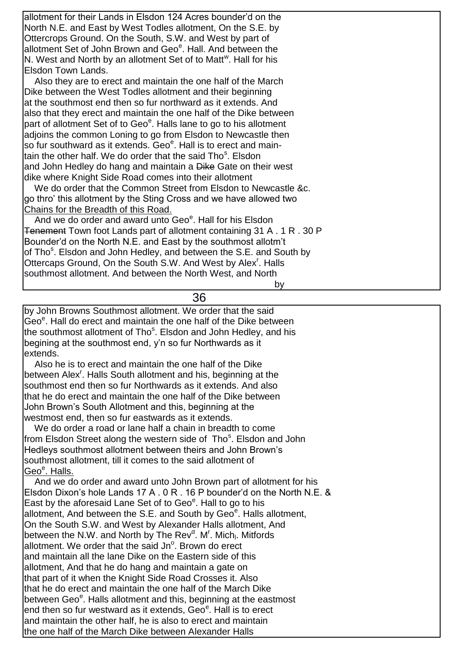| lallotment for their Lands in Elsdon 124 Acres bounder'd on the                  |
|----------------------------------------------------------------------------------|
| North N.E. and East by West Todles allotment, On the S.E. by                     |
| Ottercrops Ground. On the South, S.W. and West by part of                        |
| allotment Set of John Brown and Geo <sup>e</sup> . Hall. And between the         |
| N. West and North by an allotment Set of to Matt <sup>w</sup> . Hall for his     |
| Elsdon Town Lands.                                                               |
| Also they are to erect and maintain the one half of the March                    |
| Dike between the West Todles allotment and their beginning                       |
| at the southmost end then so fur northward as it extends. And                    |
| also that they erect and maintain the one half of the Dike between               |
| part of allotment Set of to Geo <sup>e</sup> . Halls lane to go to his allotment |
| adjoins the common Loning to go from Elsdon to Newcastle then                    |
| so fur southward as it extends. Geo <sup>e</sup> . Hall is to erect and main-    |
| tain the other half. We do order that the said Tho <sup>s</sup> . Elsdon         |
| and John Hedley do hang and maintain a Dike Gate on their west                   |
| dike where Knight Side Road comes into their allotment                           |
| We do order that the Common Street from Elsdon to Newcastle &c.                  |
| go thro' this allotment by the Sting Cross and we have allowed two               |
| Chains for the Breadth of this Road.                                             |
| And we do order and award unto Geo <sup>e</sup> . Hall for his Elsdon            |
| <b>Tenement</b> Town foot Lands part of allotment containing 31 A . 1 R . 30 P   |
| Bounder'd on the North N.E. and East by the southmost allotm't                   |
| of Tho <sup>s</sup> . Elsdon and John Hedley, and between the S.E. and South by  |
| Ottercaps Ground, On the South S.W. And West by Alex <sup>r</sup> . Halls        |
| southmost allotment. And between the North West, and North                       |
| by                                                                               |

36

by John Browns Southmost allotment. We order that the said Geo<sup>e</sup>. Hall do erect and maintain the one half of the Dike between the southmost allotment of Tho<sup>s</sup>. Elsdon and John Hedley, and his begining at the southmost end, y'n so fur Northwards as it extends.

 Also he is to erect and maintain the one half of the Dike between Alex<sup>r</sup>. Halls South allotment and his, beginning at the southmost end then so fur Northwards as it extends. And also that he do erect and maintain the one half of the Dike between John Brown's South Allotment and this, beginning at the westmost end, then so fur eastwards as it extends.

 We do order a road or lane half a chain in breadth to come from Elsdon Street along the western side of Tho<sup>s</sup>. Elsdon and John Hedleys southmost allotment between theirs and John Brown's southmost allotment, till it comes to the said allotment of Geo<sup>e</sup>. Halls.

 And we do order and award unto John Brown part of allotment for his Elsdon Dixon's hole Lands 17 A . 0 R . 16 P bounder'd on the North N.E. & East by the aforesaid Lane Set of to Geo<sup>e</sup>. Hall to go to his allotment, And between the S.E. and South by Geo<sup>e</sup>. Halls allotment, On the South S.W. and West by Alexander Halls allotment, And between the N.W. and North by The Rev<sup>d</sup>. M<sup>r</sup>. Mich<sub>l</sub>. Mitfords allotment. We order that the said Jn<sup>o</sup>. Brown do erect and maintain all the lane Dike on the Eastern side of this allotment, And that he do hang and maintain a gate on that part of it when the Knight Side Road Crosses it. Also that he do erect and maintain the one half of the March Dike between Geo<sup>e</sup>. Halls allotment and this, beginning at the eastmost end then so fur westward as it extends, Geo<sup>e</sup>. Hall is to erect and maintain the other half, he is also to erect and maintain the one half of the March Dike between Alexander Halls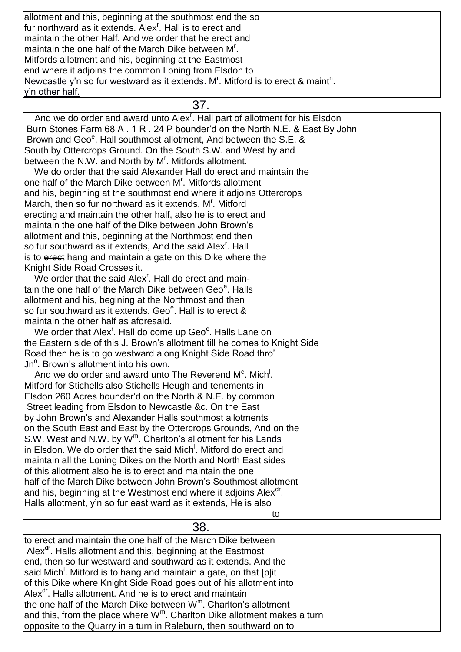allotment and this, beginning at the southmost end the so fur northward as it extends. Alex<sup>r</sup>. Hall is to erect and maintain the other Half. And we order that he erect and maintain the one half of the March Dike between M<sup>r</sup>. Mitfords allotment and his, beginning at the Eastmost end where it adjoins the common Loning from Elsdon to Newcastle y'n so fur westward as it extends. M'. Mitford is to erect & maint<sup>n</sup>. y'n other half.

37.

And we do order and award unto Alex<sup>r</sup>. Hall part of allotment for his Elsdon Burn Stones Farm 68 A . 1 R . 24 P bounder'd on the North N.E. & East By John Brown and Geo<sup>e</sup>. Hall southmost allotment, And between the S.E. & South by Ottercrops Ground. On the South S.W. and West by and between the N.W. and North by M<sup>r</sup>. Mitfords allotment.

 We do order that the said Alexander Hall do erect and maintain the one half of the March Dike between M'. Mitfords allotment and his, beginning at the southmost end where it adjoins Ottercrops March, then so fur northward as it extends, M'. Mitford erecting and maintain the other half, also he is to erect and maintain the one half of the Dike between John Brown's allotment and this, beginning at the Northmost end then so fur southward as it extends, And the said Alex<sup>r</sup>. Hall is to erect hang and maintain a gate on this Dike where the Knight Side Road Crosses it.

We order that the said Alex<sup>r</sup>. Hall do erect and maintain the one half of the March Dike between Geo<sup>e</sup>. Halls allotment and his, begining at the Northmost and then so fur southward as it extends. Geo<sup>e</sup>. Hall is to erect & maintain the other half as aforesaid.

We order that Alex<sup>r</sup>. Hall do come up Geo<sup>e</sup>. Halls Lane on the Eastern side of this J. Brown's allotment till he comes to Knight Side Road then he is to go westward along Knight Side Road thro' Jn<sup>o</sup>. Brown's allotment into his own.

And we do order and award unto The Reverend M<sup>c</sup>. Mich<sup>1</sup>. Mitford for Stichells also Stichells Heugh and tenements in Elsdon 260 Acres bounder'd on the North & N.E. by common Street leading from Elsdon to Newcastle &c. On the East by John Brown's and Alexander Halls southmost allotments on the South East and East by the Ottercrops Grounds, And on the S.W. West and N.W. by  $W^m$ . Charlton's allotment for his Lands in Elsdon. We do order that the said Mich<sup>!</sup>. Mitford do erect and maintain all the Loning Dikes on the North and North East sides of this allotment also he is to erect and maintain the one half of the March Dike between John Brown's Southmost allotment and his, beginning at the Westmost end where it adjoins Alex<sup>dr</sup>. Halls allotment, y'n so fur east ward as it extends, He is also to the contract of the contract of the contract of the contract of the contract of the contract of the contract of the contract of the contract of the contract of the contract of the contract of the contract of the contrac

38.

to erect and maintain the one half of the March Dike between Alex $d$ <sup>r</sup>. Halls allotment and this, beginning at the Eastmost end, then so fur westward and southward as it extends. And the said Mich<sup>!</sup>. Mitford is to hang and maintain a gate, on that [p]it of this Dike where Knight Side Road goes out of his allotment into Alex<sup>dr</sup>. Halls allotment. And he is to erect and maintain the one half of the March Dike between W<sup>m</sup>. Charlton's allotment and this, from the place where W<sup>m</sup>. Charlton <del>Dike</del> allotment makes a turn opposite to the Quarry in a turn in Raleburn, then southward on to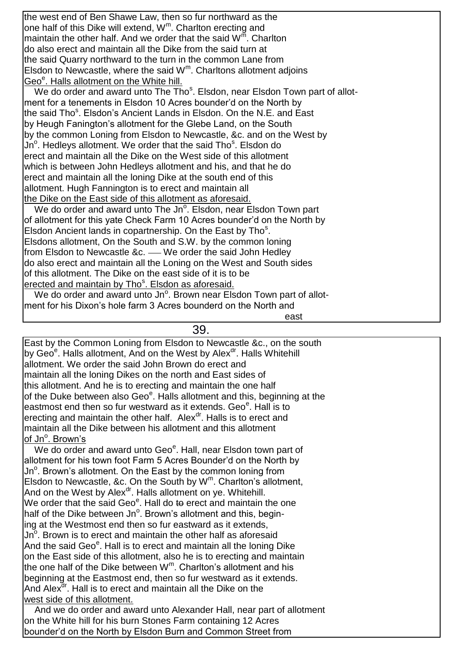the west end of Ben Shawe Law, then so fur northward as the one half of this Dike will extend,  $W^m$ . Charlton erecting and maintain the other half. And we order that the said  $W^{\overline{m}}$ . Charlton do also erect and maintain all the Dike from the said turn at the said Quarry northward to the turn in the common Lane from Elsdon to Newcastle, where the said  $W<sup>m</sup>$ . Charltons allotment adjoins Geo<sup>e</sup>. Halls allotment on the White hill.

We do order and award unto The Tho<sup>s</sup>. Elsdon, near Elsdon Town part of allotment for a tenements in Elsdon 10 Acres bounder'd on the North by the said Tho<sup>s</sup>. Elsdon's Ancient Lands in Elsdon. On the N.E. and East by Heugh Fanington's allotment for the Glebe Land, on the South by the common Loning from Elsdon to Newcastle, &c. and on the West by Jn<sup>o</sup>. Hedleys allotment. We order that the said Tho<sup>s</sup>. Elsdon do erect and maintain all the Dike on the West side of this allotment which is between John Hedleys allotment and his, and that he do erect and maintain all the loning Dike at the south end of this allotment. Hugh Fannington is to erect and maintain all the Dike on the East side of this allotment as aforesaid.

We do order and award unto The Jn<sup>o</sup>. Elsdon, near Elsdon Town part of allotment for this yate Check Farm 10 Acres bounder'd on the North by Elsdon Ancient lands in copartnership. On the East by Tho<sup>s</sup>. Elsdons allotment, On the South and S.W. by the common loning from Elsdon to Newcastle &c. - We order the said John Hedley do also erect and maintain all the Loning on the West and South sides of this allotment. The Dike on the east side of it is to be erected and maintain by Tho<sup>s</sup>. Elsdon as aforesaid.

We do order and award unto Jn<sup>o</sup>. Brown near Elsdon Town part of allotment for his Dixon's hole farm 3 Acres bounderd on the North and

39.

east and the contract of the contract of the contract of the contract of the contract of the contract of the c

East by the Common Loning from Elsdon to Newcastle &c., on the south by Geo<sup>e</sup>. Halls allotment, And on the West by Alex<sup>dr</sup>. Halls Whitehill allotment. We order the said John Brown do erect and maintain all the loning Dikes on the north and East sides of this allotment. And he is to erecting and maintain the one half of the Duke between also Geo<sup>e</sup>. Halls allotment and this, beginning at the eastmost end then so fur westward as it extends. Geo<sup>e</sup>. Hall is to erecting and maintain the other half. Alex<sup>dr</sup>. Halls is to erect and maintain all the Dike between his allotment and this allotment of Jn<sup>o</sup>. Brown's

We do order and award unto Geo<sup>e</sup>. Hall, near Elsdon town part of allotment for his town foot Farm 5 Acres Bounder'd on the North by Jn<sup>o</sup>. Brown's allotment. On the East by the common loning from Elsdon to Newcastle, &c. On the South by  $W^m$ . Charlton's allotment, And on the West by Alex<sup>dr</sup>. Halls allotment on ye. Whitehill. We order that the said Geo<sup>e</sup>. Hall do to erect and maintain the one half of the Dike between Jn<sup>o</sup>. Brown's allotment and this, begining at the Westmost end then so fur eastward as it extends, Jn $^{\circ}$ . Brown is to erect and maintain the other half as aforesaid And the said Geo<sup>e</sup>. Hall is to erect and maintain all the loning Dike on the East side of this allotment, also he is to erecting and maintain the one half of the Dike between  $W^m$ . Charlton's allotment and his beginning at the Eastmost end, then so fur westward as it extends. And Alex<sup>dr</sup>. Hall is to erect and maintain all the Dike on the west side of this allotment.

 And we do order and award unto Alexander Hall, near part of allotment on the White hill for his burn Stones Farm containing 12 Acres bounder'd on the North by Elsdon Burn and Common Street from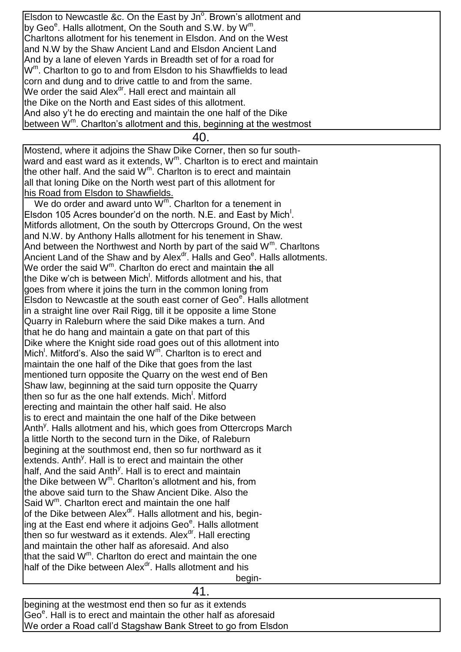Elsdon to Newcastle &c. On the East by Jn<sup>o</sup>. Brown's allotment and by Geo<sup>e</sup>. Halls allotment, On the South and S.W. by W<sup>m</sup>. Charltons allotment for his tenement in Elsdon. And on the West and N.W by the Shaw Ancient Land and Elsdon Ancient Land And by a lane of eleven Yards in Breadth set of for a road for W<sup>m</sup>. Charlton to go to and from Elsdon to his Shawffields to lead corn and dung and to drive cattle to and from the same. We order the said Alex $<sup>dr</sup>$ . Hall erect and maintain all</sup> the Dike on the North and East sides of this allotment. And also y't he do erecting and maintain the one half of the Dike between W<sup>m</sup>. Charlton's allotment and this, beginning at the westmost

40.

Mostend, where it adjoins the Shaw Dike Corner, then so fur southward and east ward as it extends,  $W^m$ . Charlton is to erect and maintain the other half. And the said  $W^m$ . Charlton is to erect and maintain all that loning Dike on the North west part of this allotment for his Road from Elsdon to Shawfields.

We do order and award unto  $W^m$ . Charlton for a tenement in Elsdon 105 Acres bounder'd on the north. N.E. and East by Mich<sup>1</sup>. Mitfords allotment, On the south by Ottercrops Ground, On the west and N.W. by Anthony Halls allotment for his tenement in Shaw. And between the Northwest and North by part of the said  $W^m$ . Charltons Ancient Land of the Shaw and by Alex<sup>dr</sup>. Halls and Geo<sup>e</sup>. Halls allotments. We order the said W<sup>m</sup>. Charlton do erect and maintain the all the Dike w'ch is between Mich<sup>!</sup>. Mitfords allotment and his, that goes from where it joins the turn in the common loning from Elsdon to Newcastle at the south east corner of Geo<sup>e</sup>. Halls allotment in a straight line over Rail Rigg, till it be opposite a lime Stone Quarry in Raleburn where the said Dike makes a turn. And that he do hang and maintain a gate on that part of this Dike where the Knight side road goes out of this allotment into Mich<sup>!</sup>. Mitford's. Also the said  $W^{\overline{m}}$ . Charlton is to erect and maintain the one half of the Dike that goes from the last mentioned turn opposite the Quarry on the west end of Ben Shaw law, beginning at the said turn opposite the Quarry then so fur as the one half extends. Mich<sup>!</sup>. Mitford erecting and maintain the other half said. He also is to erect and maintain the one half of the Dike between Anth<sup>y</sup>. Halls allotment and his, which goes from Ottercrops March a little North to the second turn in the Dike, of Raleburn begining at the southmost end, then so fur northward as it extends. Anth<sup>y</sup>. Hall is to erect and maintain the other half, And the said Anth<sup>y</sup>. Hall is to erect and maintain the Dike between  $W^m$ . Charlton's allotment and his, from the above said turn to the Shaw Ancient Dike. Also the Said W<sup>m</sup>. Charlton erect and maintain the one half of the Dike between Alex<sup>dr</sup>. Halls allotment and his, begining at the East end where it adjoins Geo<sup>e</sup>. Halls allotment then so fur westward as it extends. Alex $d$ . Hall erecting and maintain the other half as aforesaid. And also that the said W<sup>m</sup>. Charlton do erect and maintain the one half of the Dike between Alex<sup>dr</sup>. Halls allotment and his begin-the state of the state of the state of the state of the state of the state of the state of the state of t

# 41.

begining at the westmost end then so fur as it extends Geo<sup>e</sup>. Hall is to erect and maintain the other half as aforesaid We order a Road call'd Stagshaw Bank Street to go from Elsdon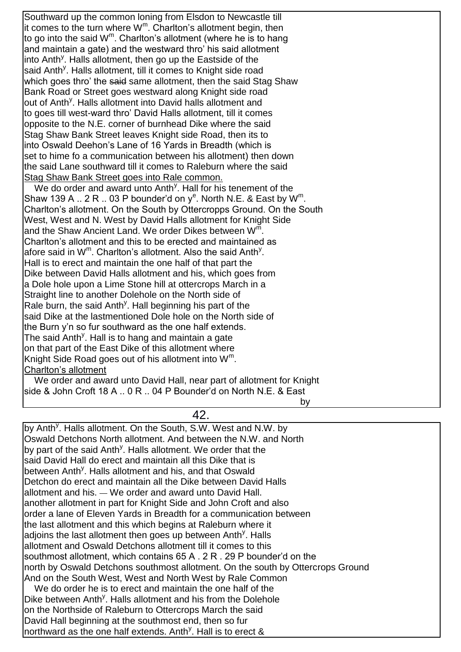Southward up the common loning from Elsdon to Newcastle till it comes to the turn where  $W^m$ . Charlton's allotment begin, then to go into the said W<sup>m</sup>. Charlton's allotment (where he is to hang and maintain a gate) and the westward thro' his said allotment into Anth<sup>y</sup>. Halls allotment, then go up the Eastside of the said Anth<sup>y</sup>. Halls allotment, till it comes to Knight side road which goes thro' the said same allotment, then the said Stag Shaw Bank Road or Street goes westward along Knight side road out of Anth<sup>y</sup>. Halls allotment into David halls allotment and to goes till west-ward thro' David Halls allotment, till it comes opposite to the N.E. corner of burnhead Dike where the said Stag Shaw Bank Street leaves Knight side Road, then its to into Oswald Deehon's Lane of 16 Yards in Breadth (which is set to hime fo a communication between his allotment) then down the said Lane southward till it comes to Raleburn where the said Stag Shaw Bank Street goes into Rale common. We do order and award unto Anth<sup>y</sup>. Hall for his tenement of the Shaw 139 A  $\ldots$  2 R  $\ldots$  03 P bounder'd on y<sup>e</sup>. North N.E. & East by W<sup>m</sup>. Charlton's allotment. On the South by Ottercropps Ground. On the South West, West and N. West by David Halls allotment for Knight Side and the Shaw Ancient Land. We order Dikes between  $W^{\bar{m}}$ . Charlton's allotment and this to be erected and maintained as afore said in W<sup>m</sup>. Charlton's allotment. Also the said Anth<sup>y</sup>. Hall is to erect and maintain the one half of that part the Dike between David Halls allotment and his, which goes from a Dole hole upon a Lime Stone hill at ottercrops March in a Straight line to another Dolehole on the North side of Rale burn, the said Anth<sup>y</sup>. Hall beginning his part of the said Dike at the lastmentioned Dole hole on the North side of the Burn y'n so fur southward as the one half extends. The said Anth<sup>y</sup>. Hall is to hang and maintain a gate on that part of the East Dike of this allotment where Knight Side Road goes out of his allotment into  $W^m$ . Charlton's allotment We order and award unto David Hall, near part of allotment for Knight side & John Croft 18 A .. 0 R .. 04 P Bounder'd on North N.E. & East

by the contract of the contract of the contract of the contract of the contract of the contract of the contract of the contract of the contract of the contract of the contract of the contract of the contract of the contrac

by Anth<sup>y</sup>. Halls allotment. On the South, S.W. West and N.W. by Oswald Detchons North allotment. And between the N.W. and North by part of the said Anth<sup>y</sup>. Halls allotment. We order that the said David Hall do erect and maintain all this Dike that is between Anth<sup>y</sup>. Halls allotment and his, and that Oswald Detchon do erect and maintain all the Dike between David Halls allotment and his. — We order and award unto David Hall. another allotment in part for Knight Side and John Croft and also order a lane of Eleven Yards in Breadth for a communication between the last allotment and this which begins at Raleburn where it adjoins the last allotment then goes up between Anth<sup>y</sup>. Halls allotment and Oswald Detchons allotment till it comes to this southmost allotment, which contains 65 A . 2 R . 29 P bounder'd on the north by Oswald Detchons southmost allotment. On the south by Ottercrops Ground And on the South West, West and North West by Rale Common We do order he is to erect and maintain the one half of the Dike between Anth<sup>y</sup>. Halls allotment and his from the Dolehole

42.

on the Northside of Raleburn to Ottercrops March the said David Hall beginning at the southmost end, then so fur northward as the one half extends. Anth<sup>y</sup>. Hall is to erect &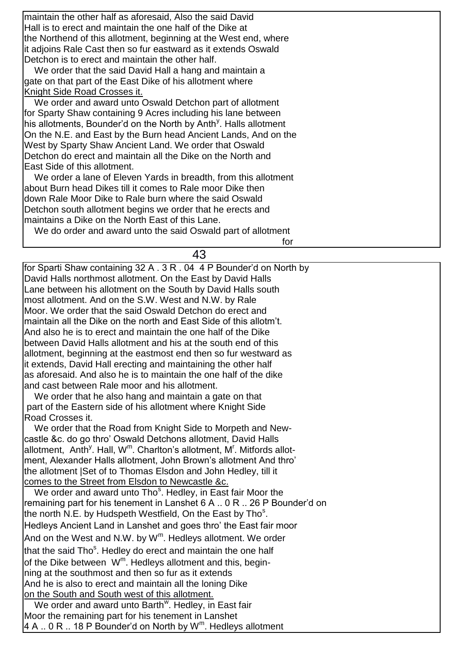| maintain the other half as aforesaid, Also the said David                     |
|-------------------------------------------------------------------------------|
| Hall is to erect and maintain the one half of the Dike at                     |
| the Northend of this allotment, beginning at the West end, where              |
| it adjoins Rale Cast then so fur eastward as it extends Oswald                |
| Detchon is to erect and maintain the other half.                              |
| We order that the said David Hall a hang and maintain a                       |
| gate on that part of the East Dike of his allotment where                     |
| Knight Side Road Crosses it.                                                  |
| We order and award unto Oswald Detchon part of allotment                      |
| for Sparty Shaw containing 9 Acres including his lane between                 |
| his allotments, Bounder'd on the North by Anth <sup>y</sup> . Halls allotment |
| On the N.E. and East by the Burn head Ancient Lands, And on the               |
| West by Sparty Shaw Ancient Land. We order that Oswald                        |
| Detchon do erect and maintain all the Dike on the North and                   |
| East Side of this allotment.                                                  |
| We order a lane of Eleven Yards in breadth, from this allotment               |
| labout Burn head Dikes till it comes to Rale moor Dike then                   |
| ldown Rale Moor Dike to Rale burn where the said Oswald                       |
| Detchon south allotment begins we order that he erects and                    |
| Imaintains a Dike on the North East of this Lane.                             |
| We do order and award unto the said Oswald part of allotment                  |

43 for Sparti Shaw containing 32 A . 3 R . 04 4 P Bounder'd on North by David Halls northmost allotment. On the East by David Halls Lane between his allotment on the South by David Halls south most allotment. And on the S.W. West and N.W. by Rale Moor. We order that the said Oswald Detchon do erect and maintain all the Dike on the north and East Side of this allotm't. And also he is to erect and maintain the one half of the Dike between David Halls allotment and his at the south end of this allotment, beginning at the eastmost end then so fur westward as it extends, David Hall erecting and maintaining the other half as aforesaid. And also he is to maintain the one half of the dike and cast between Rale moor and his allotment. We order that he also hang and maintain a gate on that part of the Eastern side of his allotment where Knight Side Road Crosses it. We order that the Road from Knight Side to Morpeth and Newcastle &c. do go thro' Oswald Detchons allotment, David Halls allotment, Anth<sup>y</sup>. Hall, W<sup>m</sup>. Charlton's allotment, M<sup>r</sup>. Mitfords allotment, Alexander Halls allotment, John Brown's allotment And thro' the allotment |Set of to Thomas Elsdon and John Hedley, till it comes to the Street from Elsdon to Newcastle &c. We order and award unto Tho<sup>s</sup>. Hedley, in East fair Moor the remaining part for his tenement in Lanshet 6 A .. 0 R .. 26 P Bounder'd on the north N.E. by Hudspeth Westfield, On the East by Tho<sup>s</sup>. Hedleys Ancient Land in Lanshet and goes thro' the East fair moor

And on the West and N.W. by  $W^m$ . Hedleys allotment. We order that the said Tho<sup>s</sup>. Hedley do erect and maintain the one half of the Dike between W<sup>m</sup>. Hedleys allotment and this, beginning at the southmost and then so fur as it extends And he is also to erect and maintain all the loning Dike on the South and South west of this allotment.

for the contract of the contract of the contract of the contract of the contract of the contract of the contract of the contract of the contract of the contract of the contract of the contract of the contract of the contra

We order and award unto Barth<sup>w</sup>. Hedley, in East fair Moor the remaining part for his tenement in Lanshet 4 A .. 0 R .. 18 P Bounder'd on North by W<sup>m</sup>. Hedleys allotment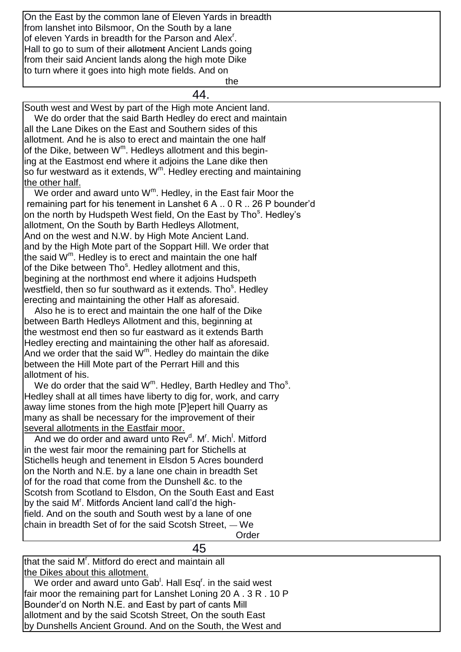| On the East by the common lane of Eleven Yards in breadth                                      |
|------------------------------------------------------------------------------------------------|
| from lanshet into Bilsmoor, On the South by a lane                                             |
| of eleven Yards in breadth for the Parson and Alex <sup>r</sup> .                              |
| Hall to go to sum of their allotment Ancient Lands going                                       |
| from their said Ancient lands along the high mote Dike                                         |
| to turn where it goes into high mote fields. And on                                            |
| the                                                                                            |
| 44.                                                                                            |
| South west and West by part of the High mote Ancient land.                                     |
| We do order that the said Barth Hedley do erect and maintain                                   |
| all the Lane Dikes on the East and Southern sides of this                                      |
|                                                                                                |
| allotment. And he is also to erect and maintain the one half                                   |
| of the Dike, between W <sup>m</sup> . Hedleys allotment and this begin-                        |
| ing at the Eastmost end where it adjoins the Lane dike then                                    |
| so fur westward as it extends, $Wm$ . Hedley erecting and maintaining                          |
| the other half.                                                                                |
| We order and award unto $W^m$ . Hedley, in the East fair Moor the                              |
| remaining part for his tenement in Lanshet 6 A . 0 R . 26 P bounder'd                          |
| on the north by Hudspeth West field, On the East by Tho <sup>s</sup> . Hedley's                |
| allotment, On the South by Barth Hedleys Allotment,                                            |
| And on the west and N.W. by High Mote Ancient Land.                                            |
| and by the High Mote part of the Soppart Hill. We order that                                   |
| the said $W^m$ . Hedley is to erect and maintain the one half                                  |
| of the Dike between Tho <sup>s</sup> . Hedley allotment and this,                              |
| begining at the northmost end where it adjoins Hudspeth                                        |
| westfield, then so fur southward as it extends. Tho <sup>s</sup> . Hedley                      |
| erecting and maintaining the other Half as aforesaid.                                          |
| Also he is to erect and maintain the one half of the Dike                                      |
| between Barth Hedleys Allotment and this, beginning at                                         |
| the westmost end then so fur eastward as it extends Barth                                      |
| Hedley erecting and maintaining the other half as aforesaid.                                   |
| And we order that the said $Wm$ . Hedley do maintain the dike                                  |
| between the Hill Mote part of the Perrart Hill and this                                        |
| allotment of his.                                                                              |
| We do order that the said $Wm$ . Hedley, Barth Hedley and Tho <sup>s</sup> .                   |
| Hedley shall at all times have liberty to dig for, work, and carry                             |
| away lime stones from the high mote [P]epert hill Quarry as                                    |
| many as shall be necessary for the improvement of their                                        |
| several allotments in the Eastfair moor.                                                       |
| And we do order and award unto Rev <sup>d</sup> , M <sup>r</sup> , Mich <sup>1</sup> , Mitford |
| in the west fair moor the remaining part for Stichells at                                      |
| Stichells heugh and tenement in Elsdon 5 Acres bounderd                                        |
| on the North and N.E. by a lane one chain in breadth Set                                       |
| of for the road that come from the Dunshell &c. to the                                         |
| Scotsh from Scotland to Elsdon, On the South East and East                                     |
| by the said M'. Mitfords Ancient land call'd the high-                                         |
|                                                                                                |
| field. And on the south and South west by a lane of one                                        |
| chain in breadth Set of for the said Scotsh Street, - We                                       |
| Order                                                                                          |
| 45                                                                                             |

that the said M<sup>r</sup>. Mitford do erect and maintain all the Dikes about this allotment.

We order and award unto  $Gab<sup>1</sup>$ . Hall Esq<sup>r</sup>. in the said west fair moor the remaining part for Lanshet Loning 20 A . 3 R . 10 P Bounder'd on North N.E. and East by part of cants Mill allotment and by the said Scotsh Street, On the south East by Dunshells Ancient Ground. And on the South, the West and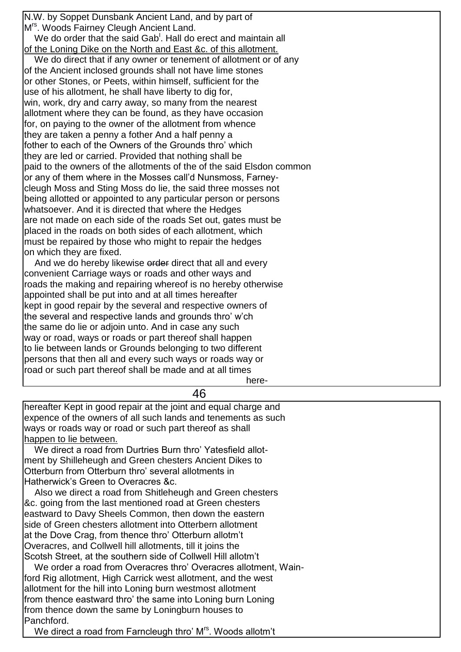N.W. by Soppet Dunsbank Ancient Land, and by part of M<sup>rs</sup>. Woods Fairney Cleugh Ancient Land. We do order that the said Gab<sup>1</sup>. Hall do erect and maintain all of the Loning Dike on the North and East &c. of this allotment. We do direct that if any owner or tenement of allotment or of any of the Ancient inclosed grounds shall not have lime stones or other Stones, or Peets, within himself, sufficient for the use of his allotment, he shall have liberty to dig for, win, work, dry and carry away, so many from the nearest allotment where they can be found, as they have occasion for, on paying to the owner of the allotment from whence they are taken a penny a fother And a half penny a fother to each of the Owners of the Grounds thro' which they are led or carried. Provided that nothing shall be paid to the owners of the allotments of the of the said Elsdon common or any of them where in the Mosses call'd Nunsmoss, Farneycleugh Moss and Sting Moss do lie, the said three mosses not being allotted or appointed to any particular person or persons whatsoever. And it is directed that where the Hedges are not made on each side of the roads Set out, gates must be placed in the roads on both sides of each allotment, which must be repaired by those who might to repair the hedges on which they are fixed.

And we do hereby likewise order direct that all and every convenient Carriage ways or roads and other ways and roads the making and repairing whereof is no hereby otherwise appointed shall be put into and at all times hereafter kept in good repair by the several and respective owners of the several and respective lands and grounds thro' w'ch the same do lie or adjoin unto. And in case any such way or road, ways or roads or part thereof shall happen to lie between lands or Grounds belonging to two different persons that then all and every such ways or roads way or road or such part thereof shall be made and at all times here-

46 hereafter Kept in good repair at the joint and equal charge and expence of the owners of all such lands and tenements as such ways or roads way or road or such part thereof as shall happen to lie between. We direct a road from Durtries Burn thro' Yatesfield allotment by Shilleheugh and Green chesters Ancient Dikes to Otterburn from Otterburn thro' several allotments in Hatherwick's Green to Overacres &c. Also we direct a road from Shitleheugh and Green chesters &c. going from the last mentioned road at Green chesters eastward to Davy Sheels Common, then down the eastern side of Green chesters allotment into Otterbern allotment at the Dove Crag, from thence thro' Otterburn allotm't Overacres, and Collwell hill allotments, till it joins the Scotsh Street, at the southern side of Collwell Hill allotm't We order a road from Overacres thro' Overacres allotment, Wainford Rig allotment, High Carrick west allotment, and the west allotment for the hill into Loning burn westmost allotment from thence eastward thro' the same into Loning burn Loning from thence down the same by Loningburn houses to

Panchford.

We direct a road from Farncleugh thro' M<sup>rs</sup>. Woods allotm't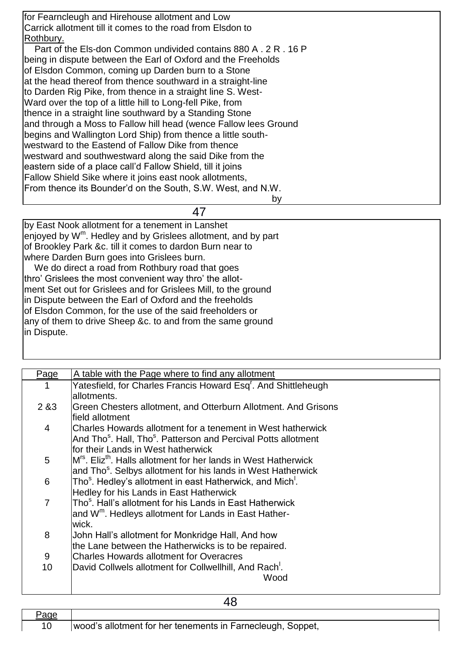| for Fearncleugh and Hirehouse allotment and Low                  |
|------------------------------------------------------------------|
| Carrick allotment till it comes to the road from Elsdon to       |
| Rothbury.                                                        |
| Part of the Els-don Common undivided contains 880 A, 2 R, 16 P   |
| being in dispute between the Earl of Oxford and the Freeholds    |
| of Elsdon Common, coming up Darden burn to a Stone               |
| at the head thereof from thence southward in a straight-line     |
| to Darden Rig Pike, from thence in a straight line S. West-      |
| Ward over the top of a little hill to Long-fell Pike, from       |
| thence in a straight line southward by a Standing Stone          |
| and through a Moss to Fallow hill head (wence Fallow lees Ground |
| begins and Wallington Lord Ship) from thence a little south-     |
| westward to the Eastend of Fallow Dike from thence               |
| westward and southwestward along the said Dike from the          |
| leastern side of a place call'd Fallow Shield, till it joins     |
| <b>Fallow Shield Sike where it joins east nook allotments,</b>   |
| From thence its Bounder'd on the South, S.W. West, and N.W.      |
| by                                                               |

### 47

by East Nook allotment for a tenement in Lanshet enjoyed by W<sup>m</sup>. Hedley and by Grislees allotment, and by part of Brookley Park &c. till it comes to dardon Burn near to where Darden Burn goes into Grislees burn.

We do direct a road from Rothbury road that goes thro' Grislees the most convenient way thro' the allotment Set out for Grislees and for Grislees Mill, to the ground in Dispute between the Earl of Oxford and the freeholds of Elsdon Common, for the use of the said freeholders or any of them to drive Sheep &c. to and from the same ground in Dispute.

| Page  | A table with the Page where to find any allotment                                       |
|-------|-----------------------------------------------------------------------------------------|
| 1     | Yatesfield, for Charles Francis Howard Esq <sup>r</sup> . And Shittleheugh              |
|       | allotments.                                                                             |
| 2 & 3 | Green Chesters allotment, and Otterburn Allotment. And Grisons                          |
|       | field allotment                                                                         |
| 4     | Charles Howards allotment for a tenement in West hatherwick                             |
|       | And Tho <sup>s</sup> . Hall, Tho <sup>s</sup> . Patterson and Percival Potts allotment  |
|       | for their Lands in West hatherwick                                                      |
| 5     | M <sup>rs</sup> . Eliz <sup>th</sup> , Halls allotment for her lands in West Hatherwick |
|       | and Tho <sup>s</sup> . Selbys allotment for his lands in West Hatherwick                |
| 6     | Tho <sup>s</sup> . Hedley's allotment in east Hatherwick, and Mich <sup>1</sup> .       |
|       | Hedley for his Lands in East Hatherwick                                                 |
| 7     | Tho <sup>s</sup> . Hall's allotment for his Lands in East Hatherwick                    |
|       | and W <sup>m</sup> . Hedleys allotment for Lands in East Hather-                        |
|       | wick.                                                                                   |
| 8     | John Hall's allotment for Monkridge Hall, And how                                       |
|       | the Lane between the Hatherwicks is to be repaired.                                     |
| 9     | <b>Charles Howards allotment for Overacres</b>                                          |
| 10    | David Collwels allotment for Collwellhill, And Rach <sup>1</sup> .                      |
|       | Wood                                                                                    |
|       |                                                                                         |

48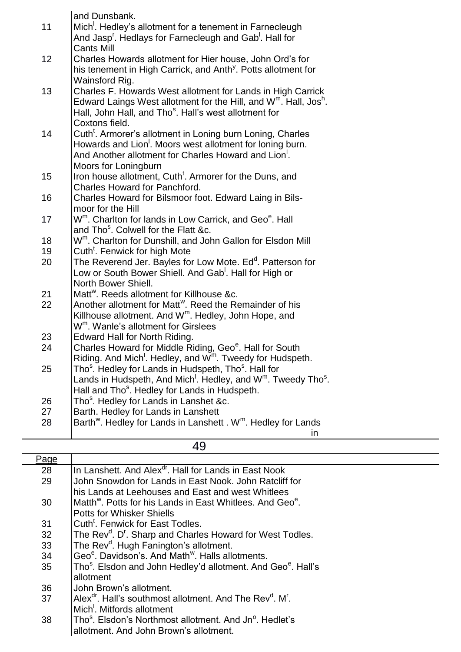| 11       | and Dunsbank.<br>Mich <sup>1</sup> . Hedley's allotment for a tenement in Farnecleugh<br>And Jasp <sup>r</sup> . Hedlays for Farnecleugh and Gab <sup>1</sup> . Hall for |
|----------|--------------------------------------------------------------------------------------------------------------------------------------------------------------------------|
|          | <b>Cants Mill</b>                                                                                                                                                        |
| 12       | Charles Howards allotment for Hier house, John Ord's for                                                                                                                 |
|          | his tenement in High Carrick, and Anth <sup>y</sup> . Potts allotment for                                                                                                |
|          | Wainsford Rig.                                                                                                                                                           |
| 13       | Charles F. Howards West allotment for Lands in High Carrick                                                                                                              |
|          | Edward Laings West allotment for the Hill, and $Wm$ . Hall, Jos <sup>h</sup> .<br>Hall, John Hall, and Tho <sup>s</sup> . Hall's west allotment for                      |
|          | Coxtons field.                                                                                                                                                           |
| 14       | Cuth <sup>t</sup> . Armorer's allotment in Loning burn Loning, Charles                                                                                                   |
|          | Howards and Lion <sup>1</sup> . Moors west allotment for loning burn.                                                                                                    |
|          | And Another allotment for Charles Howard and Lion <sup>1</sup> .                                                                                                         |
|          | Moors for Loningburn                                                                                                                                                     |
| 15       | Iron house allotment, Cuth <sup>t</sup> . Armorer for the Duns, and                                                                                                      |
|          | <b>Charles Howard for Panchford.</b>                                                                                                                                     |
| 16       | Charles Howard for Bilsmoor foot. Edward Laing in Bils-                                                                                                                  |
|          | moor for the Hill                                                                                                                                                        |
| 17       | W <sup>m</sup> . Charlton for lands in Low Carrick, and Geo <sup>e</sup> . Hall                                                                                          |
|          | and Tho <sup>s</sup> . Colwell for the Flatt &c.                                                                                                                         |
| 18       | W <sup>m</sup> . Charlton for Dunshill, and John Gallon for Elsdon Mill                                                                                                  |
| 19<br>20 | Cuth <sup>t</sup> . Fenwick for high Mote<br>The Reverend Jer. Bayles for Low Mote. Ed <sup>d</sup> . Patterson for                                                      |
|          | Low or South Bower Shiell. And Gab <sup>1</sup> . Hall for High or                                                                                                       |
|          | North Bower Shiell.                                                                                                                                                      |
| 21       | Matt <sup>w</sup> . Reeds allotment for Killhouse &c.                                                                                                                    |
| 22       | Another allotment for Matt <sup>w</sup> . Reed the Remainder of his                                                                                                      |
|          | Killhouse allotment. And W <sup>m</sup> . Hedley, John Hope, and                                                                                                         |
|          | W <sup>m</sup> . Wanle's allotment for Girslees                                                                                                                          |
| 23       | Edward Hall for North Riding.                                                                                                                                            |
| 24       | Charles Howard for Middle Riding, Geo <sup>e</sup> . Hall for South                                                                                                      |
|          | Riding. And Mich <sup>1</sup> . Hedley, and W <sup>m</sup> . Tweedy for Hudspeth.                                                                                        |
| 25       | Tho <sup>s</sup> . Hedley for Lands in Hudspeth, Tho <sup>s</sup> . Hall for                                                                                             |
|          | Lands in Hudspeth, And Mich <sup>1</sup> . Hedley, and $Wm$ . Tweedy Tho <sup>s</sup> .                                                                                  |
|          | Hall and Tho <sup>s</sup> . Hedley for Lands in Hudspeth.                                                                                                                |
| 26<br>27 | Tho <sup>s</sup> . Hedley for Lands in Lanshet &c.<br>Barth. Hedley for Lands in Lanshett                                                                                |
| 28       | Barth <sup>w</sup> . Hedley for Lands in Lanshett . W <sup>m</sup> . Hedley for Lands                                                                                    |
|          | in                                                                                                                                                                       |
|          |                                                                                                                                                                          |

| ×<br>۰. |  |
|---------|--|
|---------|--|

| Page |                                                                                              |
|------|----------------------------------------------------------------------------------------------|
| 28   | In Lanshett. And Alex <sup>dr</sup> . Hall for Lands in East Nook                            |
| 29   | John Snowdon for Lands in East Nook, John Ratcliff for                                       |
|      | his Lands at Leehouses and East and west Whitlees                                            |
| 30   | Matth <sup>w</sup> . Potts for his Lands in East Whitlees, And Geo <sup>e</sup> .            |
|      | <b>Potts for Whisker Shiells</b>                                                             |
| 31   | Cuth <sup>t</sup> . Fenwick for East Todles.                                                 |
| 32   | The Rev <sup>d</sup> . D <sup>r</sup> . Sharp and Charles Howard for West Todles.            |
| 33   | The Rev <sup>d</sup> . Hugh Fanington's allotment.                                           |
| 34   | Geo <sup>e</sup> . Davidson's. And Math <sup>w</sup> . Halls allotments.                     |
| 35   | Tho <sup>s</sup> . Elsdon and John Hedley'd allotment. And Geo <sup>e</sup> . Hall's         |
|      | allotment                                                                                    |
| 36   | John Brown's allotment.                                                                      |
| 37   | Alex <sup>dr</sup> . Hall's southmost allotment. And The Rev <sup>d</sup> . M <sup>r</sup> . |
|      | Mich <sup>'</sup> . Mitfords allotment                                                       |
| 38   | Tho <sup>s</sup> . Elsdon's Northmost allotment. And Jn <sup>o</sup> , Hedlet's              |
|      | allotment. And John Brown's allotment.                                                       |